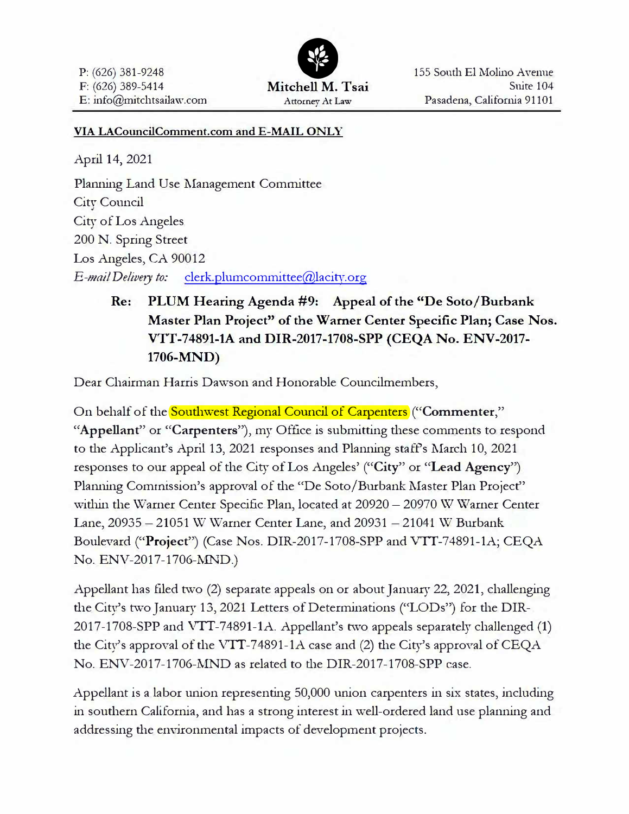

#### **VIA LACouncilComment.com and E-MAIL ONLY**

April 14, 2021

Planning Land Use Management Committee City Council City of Los Angeles 200 N. Spring Street Los Angeles, *CA* 90012 *E-mail Delivery to:* clerk.plumcommittee@lacitv.org

> **Re: PLUM Hearing Agenda #9: Appeal of the "De Soto/Burbank Master Plan Project" of the Warner Center Specific Plan; Case Nos. VTT-74891-lA and DIR-2017-1708-SPP (CEQA No. ENV-2017- 1706-MND)**

Dear Chairman Harris Dawson and Honorable Councilmembers,

On behalf of the **Southwest Regional Council of Carpenters** ("Commenter," **"Appellant"** or **"Carpenters"),** my Office is submitting these comments to respond to the Applicant's April 13, 2021 responses and Planning staffs March 10, 2021 responses to our appeal of the City of Los Angeles' **("City"** or **"Lead Agency")**  Planning Commission's approval of the "De Soto/Burbank Master Plan Project" within the Warner Center Specific Plan, located at  $20920-20970$  *W Warner Center* Lane, 20935 - 21051 W Warner Center Lane, and 20931 - 21041 W Burbank Boulevard **("Project")** (Case Nos. DIR-2017-1708-SPP and VTf-74891-lA; CEQA No. ENV-2017-1706-NIND.)

Appellant has filed two (2) separate appeals on or about January 22, 2021, challenging the City's two January 13, 2021 Letters of Determinations ("LODs") for the DIR-2017-1708-SPP and VIT-74891-lA. Appellant's two appeals separately challenged **(1)**  the City's approval of the VTT-74891-1A case and (2) the City's approval of CEQA No. ENV-2017-1706-MND as related to the DIR-2017-1708-SPP case.

Appellant is a labor union representing 50,000 wiion carpenters in six states, including in southern California, and has a strong interest in well-ordered land use planning and addressing the environmental impacts of development projects.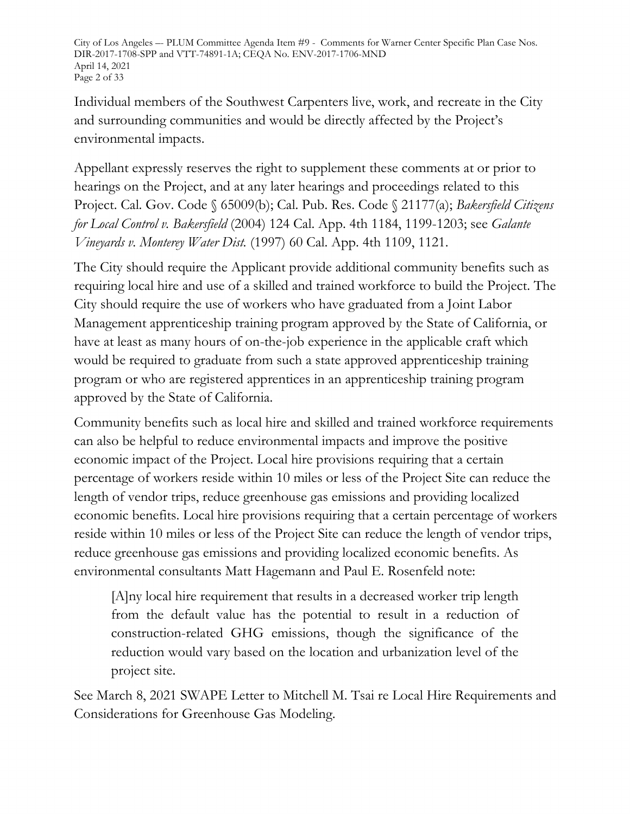City of Los Angeles –- PLUM Committee Agenda Item #9 - Comments for Warner Center Specific Plan Case Nos. DIR-2017-1708-SPP and VTT-74891-1A; CEQA No. ENV-2017-1706-MND April 14, 2021 Page 2 of 33

Individual members of the Southwest Carpenters live, work, and recreate in the City and surrounding communities and would be directly affected by the Project's environmental impacts.

Appellant expressly reserves the right to supplement these comments at or prior to hearings on the Project, and at any later hearings and proceedings related to this Project. Cal. Gov. Code § 65009(b); Cal. Pub. Res. Code § 21177(a); *Bakersfield Citizens for Local Control v. Bakersfield* (2004) 124 Cal. App. 4th 1184, 1199-1203; see *Galante Vineyards v. Monterey Water Dist.* (1997) 60 Cal. App. 4th 1109, 1121.

The City should require the Applicant provide additional community benefits such as requiring local hire and use of a skilled and trained workforce to build the Project. The City should require the use of workers who have graduated from a Joint Labor Management apprenticeship training program approved by the State of California, or have at least as many hours of on-the-job experience in the applicable craft which would be required to graduate from such a state approved apprenticeship training program or who are registered apprentices in an apprenticeship training program approved by the State of California.

Community benefits such as local hire and skilled and trained workforce requirements can also be helpful to reduce environmental impacts and improve the positive economic impact of the Project. Local hire provisions requiring that a certain percentage of workers reside within 10 miles or less of the Project Site can reduce the length of vendor trips, reduce greenhouse gas emissions and providing localized economic benefits. Local hire provisions requiring that a certain percentage of workers reside within 10 miles or less of the Project Site can reduce the length of vendor trips, reduce greenhouse gas emissions and providing localized economic benefits. As environmental consultants Matt Hagemann and Paul E. Rosenfeld note:

[A]ny local hire requirement that results in a decreased worker trip length from the default value has the potential to result in a reduction of construction-related GHG emissions, though the significance of the reduction would vary based on the location and urbanization level of the project site.

See March 8, 2021 SWAPE Letter to Mitchell M. Tsai re Local Hire Requirements and Considerations for Greenhouse Gas Modeling.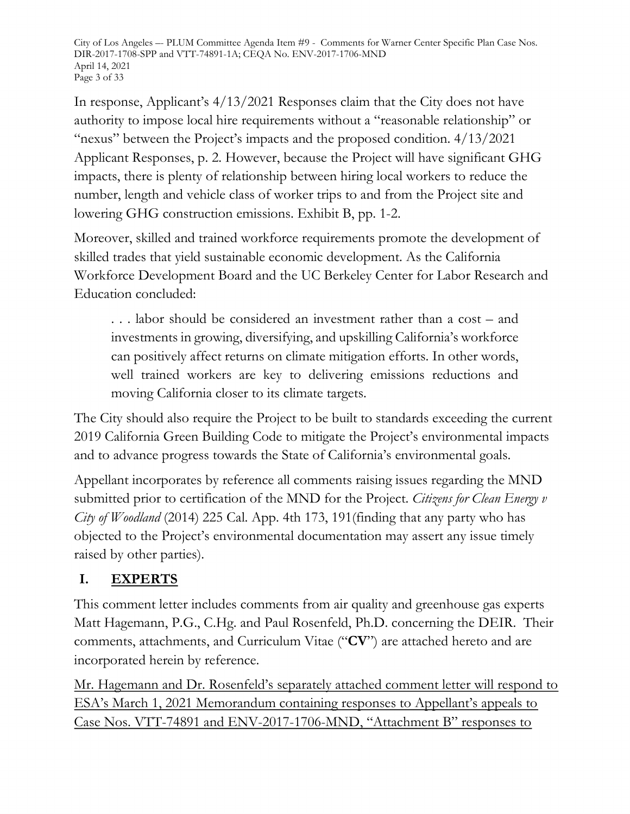City of Los Angeles –- PLUM Committee Agenda Item #9 - Comments for Warner Center Specific Plan Case Nos. DIR-2017-1708-SPP and VTT-74891-1A; CEQA No. ENV-2017-1706-MND April 14, 2021 Page 3 of 33

In response, Applicant's 4/13/2021 Responses claim that the City does not have authority to impose local hire requirements without a "reasonable relationship" or "nexus" between the Project's impacts and the proposed condition. 4/13/2021 Applicant Responses, p. 2. However, because the Project will have significant GHG impacts, there is plenty of relationship between hiring local workers to reduce the number, length and vehicle class of worker trips to and from the Project site and lowering GHG construction emissions. Exhibit B, pp. 1-2.

Moreover, skilled and trained workforce requirements promote the development of skilled trades that yield sustainable economic development. As the California Workforce Development Board and the UC Berkeley Center for Labor Research and Education concluded:

. . . labor should be considered an investment rather than a cost – and investments in growing, diversifying, and upskilling California's workforce can positively affect returns on climate mitigation efforts. In other words, well trained workers are key to delivering emissions reductions and moving California closer to its climate targets.

The City should also require the Project to be built to standards exceeding the current 2019 California Green Building Code to mitigate the Project's environmental impacts and to advance progress towards the State of California's environmental goals.

Appellant incorporates by reference all comments raising issues regarding the MND submitted prior to certification of the MND for the Project. *Citizens for Clean Energy v City of Woodland* (2014) 225 Cal. App. 4th 173, 191(finding that any party who has objected to the Project's environmental documentation may assert any issue timely raised by other parties).

# **I. EXPERTS**

This comment letter includes comments from air quality and greenhouse gas experts Matt Hagemann, P.G., C.Hg. and Paul Rosenfeld, Ph.D. concerning the DEIR. Their comments, attachments, and Curriculum Vitae ("**CV**") are attached hereto and are incorporated herein by reference.

Mr. Hagemann and Dr. Rosenfeld's separately attached comment letter will respond to ESA's March 1, 2021 Memorandum containing responses to Appellant's appeals to Case Nos. VTT-74891 and ENV-2017-1706-MND, "Attachment B" responses to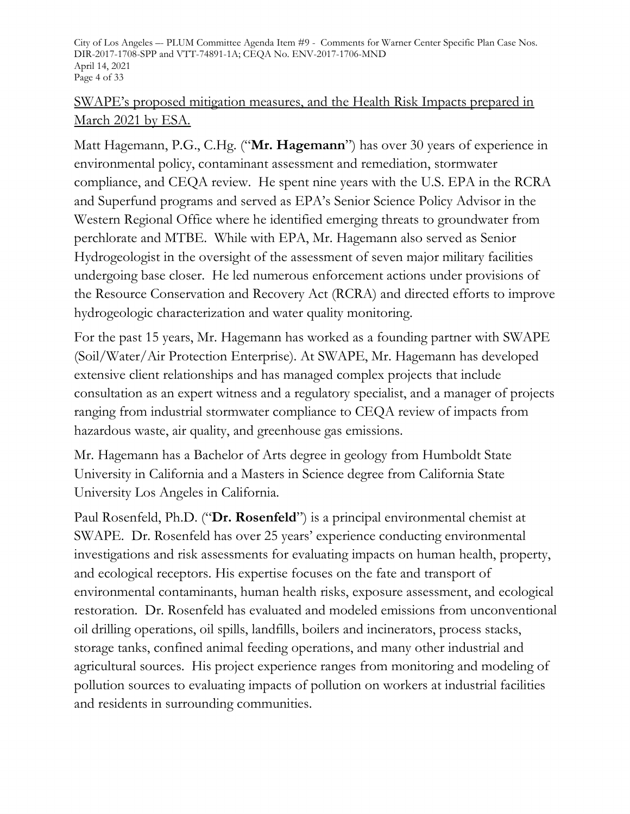City of Los Angeles –- PLUM Committee Agenda Item #9 - Comments for Warner Center Specific Plan Case Nos. DIR-2017-1708-SPP and VTT-74891-1A; CEQA No. ENV-2017-1706-MND April 14, 2021 Page 4 of 33

#### SWAPE's proposed mitigation measures, and the Health Risk Impacts prepared in March 2021 by ESA.

Matt Hagemann, P.G., C.Hg. ("**Mr. Hagemann**") has over 30 years of experience in environmental policy, contaminant assessment and remediation, stormwater compliance, and CEQA review. He spent nine years with the U.S. EPA in the RCRA and Superfund programs and served as EPA's Senior Science Policy Advisor in the Western Regional Office where he identified emerging threats to groundwater from perchlorate and MTBE. While with EPA, Mr. Hagemann also served as Senior Hydrogeologist in the oversight of the assessment of seven major military facilities undergoing base closer. He led numerous enforcement actions under provisions of the Resource Conservation and Recovery Act (RCRA) and directed efforts to improve hydrogeologic characterization and water quality monitoring.

For the past 15 years, Mr. Hagemann has worked as a founding partner with SWAPE (Soil/Water/Air Protection Enterprise). At SWAPE, Mr. Hagemann has developed extensive client relationships and has managed complex projects that include consultation as an expert witness and a regulatory specialist, and a manager of projects ranging from industrial stormwater compliance to CEQA review of impacts from hazardous waste, air quality, and greenhouse gas emissions.

Mr. Hagemann has a Bachelor of Arts degree in geology from Humboldt State University in California and a Masters in Science degree from California State University Los Angeles in California.

Paul Rosenfeld, Ph.D. ("**Dr. Rosenfeld**") is a principal environmental chemist at SWAPE. Dr. Rosenfeld has over 25 years' experience conducting environmental investigations and risk assessments for evaluating impacts on human health, property, and ecological receptors. His expertise focuses on the fate and transport of environmental contaminants, human health risks, exposure assessment, and ecological restoration. Dr. Rosenfeld has evaluated and modeled emissions from unconventional oil drilling operations, oil spills, landfills, boilers and incinerators, process stacks, storage tanks, confined animal feeding operations, and many other industrial and agricultural sources. His project experience ranges from monitoring and modeling of pollution sources to evaluating impacts of pollution on workers at industrial facilities and residents in surrounding communities.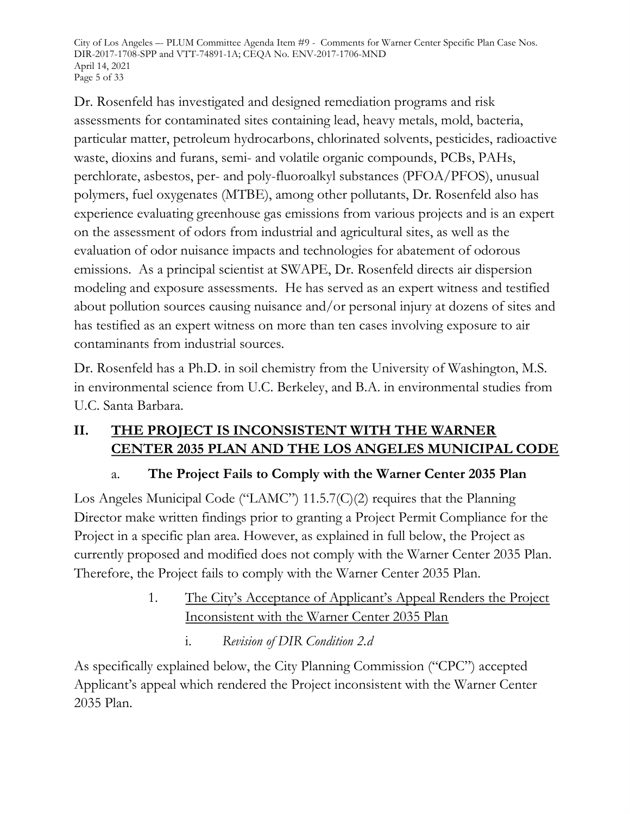City of Los Angeles –- PLUM Committee Agenda Item #9 - Comments for Warner Center Specific Plan Case Nos. DIR-2017-1708-SPP and VTT-74891-1A; CEQA No. ENV-2017-1706-MND April 14, 2021 Page 5 of 33

Dr. Rosenfeld has investigated and designed remediation programs and risk assessments for contaminated sites containing lead, heavy metals, mold, bacteria, particular matter, petroleum hydrocarbons, chlorinated solvents, pesticides, radioactive waste, dioxins and furans, semi- and volatile organic compounds, PCBs, PAHs, perchlorate, asbestos, per- and poly-fluoroalkyl substances (PFOA/PFOS), unusual polymers, fuel oxygenates (MTBE), among other pollutants, Dr. Rosenfeld also has experience evaluating greenhouse gas emissions from various projects and is an expert on the assessment of odors from industrial and agricultural sites, as well as the evaluation of odor nuisance impacts and technologies for abatement of odorous emissions. As a principal scientist at SWAPE, Dr. Rosenfeld directs air dispersion modeling and exposure assessments. He has served as an expert witness and testified about pollution sources causing nuisance and/or personal injury at dozens of sites and has testified as an expert witness on more than ten cases involving exposure to air contaminants from industrial sources.

Dr. Rosenfeld has a Ph.D. in soil chemistry from the University of Washington, M.S. in environmental science from U.C. Berkeley, and B.A. in environmental studies from U.C. Santa Barbara.

# **II. THE PROJECT IS INCONSISTENT WITH THE WARNER CENTER 2035 PLAN AND THE LOS ANGELES MUNICIPAL CODE**

# a. **The Project Fails to Comply with the Warner Center 2035 Plan**

Los Angeles Municipal Code ("LAMC") 11.5.7(C)(2) requires that the Planning Director make written findings prior to granting a Project Permit Compliance for the Project in a specific plan area. However, as explained in full below, the Project as currently proposed and modified does not comply with the Warner Center 2035 Plan. Therefore, the Project fails to comply with the Warner Center 2035 Plan.

# 1. The City's Acceptance of Applicant's Appeal Renders the Project Inconsistent with the Warner Center 2035 Plan

i. *Revision of DIR Condition 2.d*

As specifically explained below, the City Planning Commission ("CPC") accepted Applicant's appeal which rendered the Project inconsistent with the Warner Center 2035 Plan.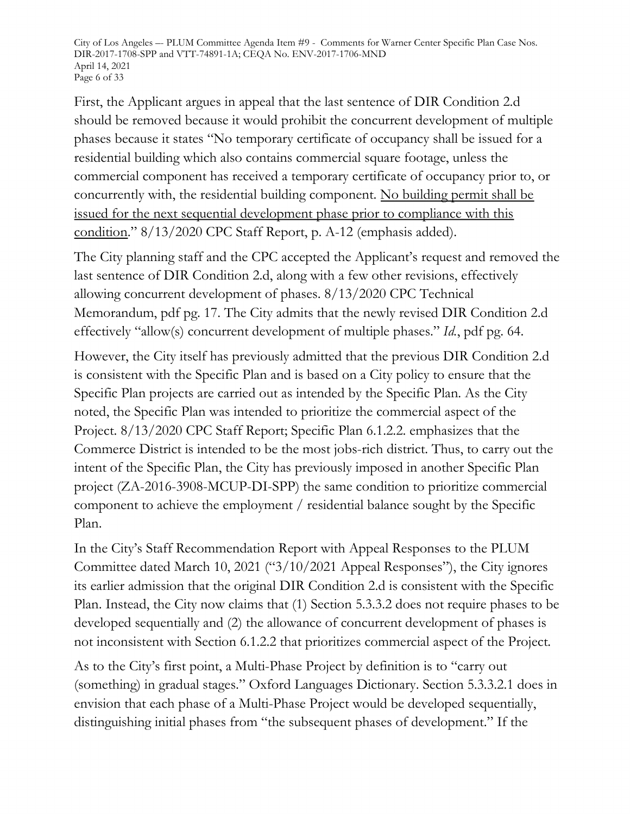City of Los Angeles –- PLUM Committee Agenda Item #9 - Comments for Warner Center Specific Plan Case Nos. DIR-2017-1708-SPP and VTT-74891-1A; CEQA No. ENV-2017-1706-MND April 14, 2021 Page 6 of 33

First, the Applicant argues in appeal that the last sentence of DIR Condition 2.d should be removed because it would prohibit the concurrent development of multiple phases because it states "No temporary certificate of occupancy shall be issued for a residential building which also contains commercial square footage, unless the commercial component has received a temporary certificate of occupancy prior to, or concurrently with, the residential building component. No building permit shall be issued for the next sequential development phase prior to compliance with this condition." 8/13/2020 CPC Staff Report, p. A-12 (emphasis added).

The City planning staff and the CPC accepted the Applicant's request and removed the last sentence of DIR Condition 2.d, along with a few other revisions, effectively allowing concurrent development of phases. 8/13/2020 CPC Technical Memorandum, pdf pg. 17. The City admits that the newly revised DIR Condition 2.d effectively "allow(s) concurrent development of multiple phases." *Id.*, pdf pg. 64.

However, the City itself has previously admitted that the previous DIR Condition 2.d is consistent with the Specific Plan and is based on a City policy to ensure that the Specific Plan projects are carried out as intended by the Specific Plan. As the City noted, the Specific Plan was intended to prioritize the commercial aspect of the Project. 8/13/2020 CPC Staff Report; Specific Plan 6.1.2.2. emphasizes that the Commerce District is intended to be the most jobs-rich district. Thus, to carry out the intent of the Specific Plan, the City has previously imposed in another Specific Plan project (ZA-2016-3908-MCUP-DI-SPP) the same condition to prioritize commercial component to achieve the employment / residential balance sought by the Specific Plan.

In the City's Staff Recommendation Report with Appeal Responses to the PLUM Committee dated March 10, 2021 ("3/10/2021 Appeal Responses"), the City ignores its earlier admission that the original DIR Condition 2.d is consistent with the Specific Plan. Instead, the City now claims that (1) Section 5.3.3.2 does not require phases to be developed sequentially and (2) the allowance of concurrent development of phases is not inconsistent with Section 6.1.2.2 that prioritizes commercial aspect of the Project.

As to the City's first point, a Multi-Phase Project by definition is to "carry out (something) in gradual stages." Oxford Languages Dictionary. Section 5.3.3.2.1 does in envision that each phase of a Multi-Phase Project would be developed sequentially, distinguishing initial phases from "the subsequent phases of development." If the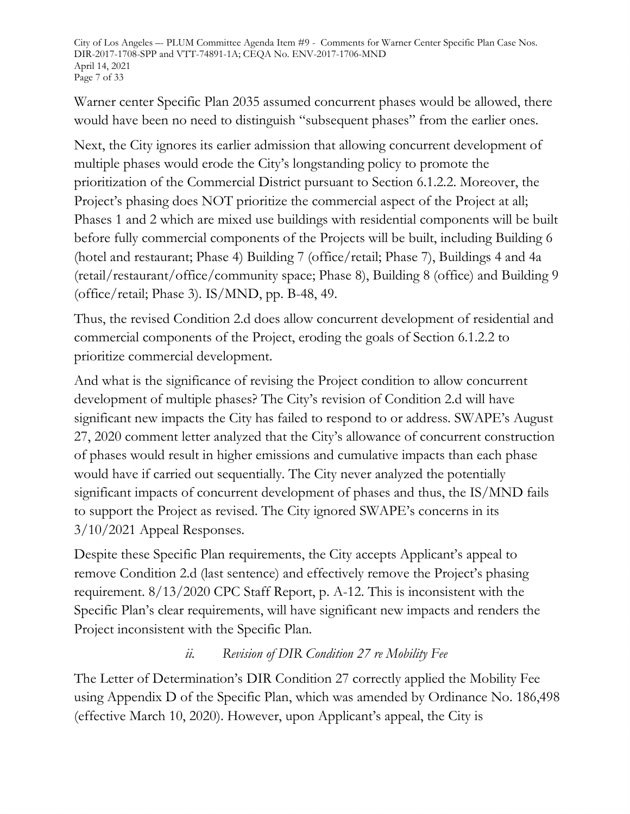City of Los Angeles –- PLUM Committee Agenda Item #9 - Comments for Warner Center Specific Plan Case Nos. DIR-2017-1708-SPP and VTT-74891-1A; CEQA No. ENV-2017-1706-MND April 14, 2021 Page 7 of 33

Warner center Specific Plan 2035 assumed concurrent phases would be allowed, there would have been no need to distinguish "subsequent phases" from the earlier ones.

Next, the City ignores its earlier admission that allowing concurrent development of multiple phases would erode the City's longstanding policy to promote the prioritization of the Commercial District pursuant to Section 6.1.2.2. Moreover, the Project's phasing does NOT prioritize the commercial aspect of the Project at all; Phases 1 and 2 which are mixed use buildings with residential components will be built before fully commercial components of the Projects will be built, including Building 6 (hotel and restaurant; Phase 4) Building 7 (office/retail; Phase 7), Buildings 4 and 4a (retail/restaurant/office/community space; Phase 8), Building 8 (office) and Building 9 (office/retail; Phase 3). IS/MND, pp. B-48, 49.

Thus, the revised Condition 2.d does allow concurrent development of residential and commercial components of the Project, eroding the goals of Section 6.1.2.2 to prioritize commercial development.

And what is the significance of revising the Project condition to allow concurrent development of multiple phases? The City's revision of Condition 2.d will have significant new impacts the City has failed to respond to or address. SWAPE's August 27, 2020 comment letter analyzed that the City's allowance of concurrent construction of phases would result in higher emissions and cumulative impacts than each phase would have if carried out sequentially. The City never analyzed the potentially significant impacts of concurrent development of phases and thus, the IS/MND fails to support the Project as revised. The City ignored SWAPE's concerns in its 3/10/2021 Appeal Responses.

Despite these Specific Plan requirements, the City accepts Applicant's appeal to remove Condition 2.d (last sentence) and effectively remove the Project's phasing requirement. 8/13/2020 CPC Staff Report, p. A-12. This is inconsistent with the Specific Plan's clear requirements, will have significant new impacts and renders the Project inconsistent with the Specific Plan.

# *ii. Revision of DIR Condition 27 re Mobility Fee*

The Letter of Determination's DIR Condition 27 correctly applied the Mobility Fee using Appendix D of the Specific Plan, which was amended by Ordinance No. 186,498 (effective March 10, 2020). However, upon Applicant's appeal, the City is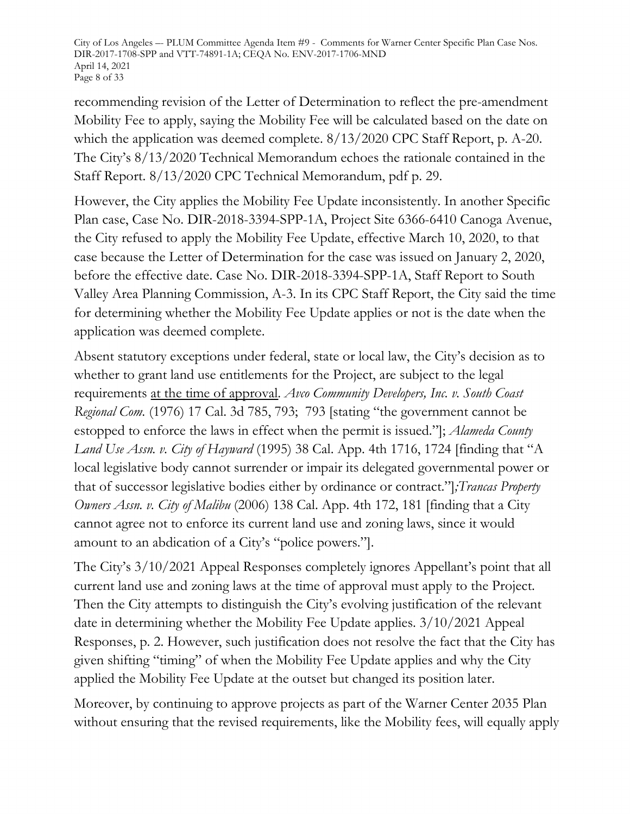City of Los Angeles –- PLUM Committee Agenda Item #9 - Comments for Warner Center Specific Plan Case Nos. DIR-2017-1708-SPP and VTT-74891-1A; CEQA No. ENV-2017-1706-MND April 14, 2021 Page 8 of 33

recommending revision of the Letter of Determination to reflect the pre-amendment Mobility Fee to apply, saying the Mobility Fee will be calculated based on the date on which the application was deemed complete. 8/13/2020 CPC Staff Report, p. A-20. The City's 8/13/2020 Technical Memorandum echoes the rationale contained in the Staff Report. 8/13/2020 CPC Technical Memorandum, pdf p. 29.

However, the City applies the Mobility Fee Update inconsistently. In another Specific Plan case, Case No. DIR-2018-3394-SPP-1A, Project Site 6366-6410 Canoga Avenue, the City refused to apply the Mobility Fee Update, effective March 10, 2020, to that case because the Letter of Determination for the case was issued on January 2, 2020, before the effective date. Case No. DIR-2018-3394-SPP-1A, Staff Report to South Valley Area Planning Commission, A-3. In its CPC Staff Report, the City said the time for determining whether the Mobility Fee Update applies or not is the date when the application was deemed complete.

Absent statutory exceptions under federal, state or local law, the City's decision as to whether to grant land use entitlements for the Project, are subject to the legal requirements at the time of approval. *Avco Community Developers, Inc. v. South Coast Regional Com.* (1976) 17 Cal. 3d 785, 793; 793 [stating "the government cannot be estopped to enforce the laws in effect when the permit is issued."]; *Alameda County Land Use Assn. v. City of Hayward* (1995) 38 Cal. App. 4th 1716, 1724 [finding that "A local legislative body cannot surrender or impair its delegated governmental power or that of successor legislative bodies either by ordinance or contract."]*;Trancas Property Owners Assn. v. City of Malibu* (2006) 138 Cal. App. 4th 172, 181 [finding that a City cannot agree not to enforce its current land use and zoning laws, since it would amount to an abdication of a City's "police powers."].

The City's 3/10/2021 Appeal Responses completely ignores Appellant's point that all current land use and zoning laws at the time of approval must apply to the Project. Then the City attempts to distinguish the City's evolving justification of the relevant date in determining whether the Mobility Fee Update applies. 3/10/2021 Appeal Responses, p. 2. However, such justification does not resolve the fact that the City has given shifting "timing" of when the Mobility Fee Update applies and why the City applied the Mobility Fee Update at the outset but changed its position later.

Moreover, by continuing to approve projects as part of the Warner Center 2035 Plan without ensuring that the revised requirements, like the Mobility fees, will equally apply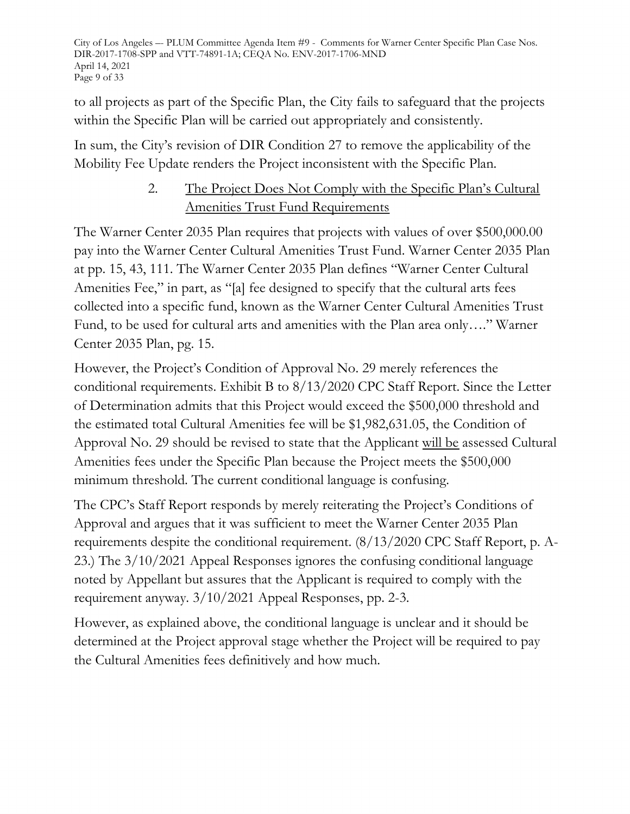City of Los Angeles –- PLUM Committee Agenda Item #9 - Comments for Warner Center Specific Plan Case Nos. DIR-2017-1708-SPP and VTT-74891-1A; CEQA No. ENV-2017-1706-MND April 14, 2021 Page 9 of 33

to all projects as part of the Specific Plan, the City fails to safeguard that the projects within the Specific Plan will be carried out appropriately and consistently.

In sum, the City's revision of DIR Condition 27 to remove the applicability of the Mobility Fee Update renders the Project inconsistent with the Specific Plan.

# 2. The Project Does Not Comply with the Specific Plan's Cultural Amenities Trust Fund Requirements

The Warner Center 2035 Plan requires that projects with values of over \$500,000.00 pay into the Warner Center Cultural Amenities Trust Fund. Warner Center 2035 Plan at pp. 15, 43, 111. The Warner Center 2035 Plan defines "Warner Center Cultural Amenities Fee," in part, as "[a] fee designed to specify that the cultural arts fees collected into a specific fund, known as the Warner Center Cultural Amenities Trust Fund, to be used for cultural arts and amenities with the Plan area only…." Warner Center 2035 Plan, pg. 15.

However, the Project's Condition of Approval No. 29 merely references the conditional requirements. Exhibit B to 8/13/2020 CPC Staff Report. Since the Letter of Determination admits that this Project would exceed the \$500,000 threshold and the estimated total Cultural Amenities fee will be \$1,982,631.05, the Condition of Approval No. 29 should be revised to state that the Applicant will be assessed Cultural Amenities fees under the Specific Plan because the Project meets the \$500,000 minimum threshold. The current conditional language is confusing.

The CPC's Staff Report responds by merely reiterating the Project's Conditions of Approval and argues that it was sufficient to meet the Warner Center 2035 Plan requirements despite the conditional requirement. (8/13/2020 CPC Staff Report, p. A-23.) The 3/10/2021 Appeal Responses ignores the confusing conditional language noted by Appellant but assures that the Applicant is required to comply with the requirement anyway. 3/10/2021 Appeal Responses, pp. 2-3.

However, as explained above, the conditional language is unclear and it should be determined at the Project approval stage whether the Project will be required to pay the Cultural Amenities fees definitively and how much.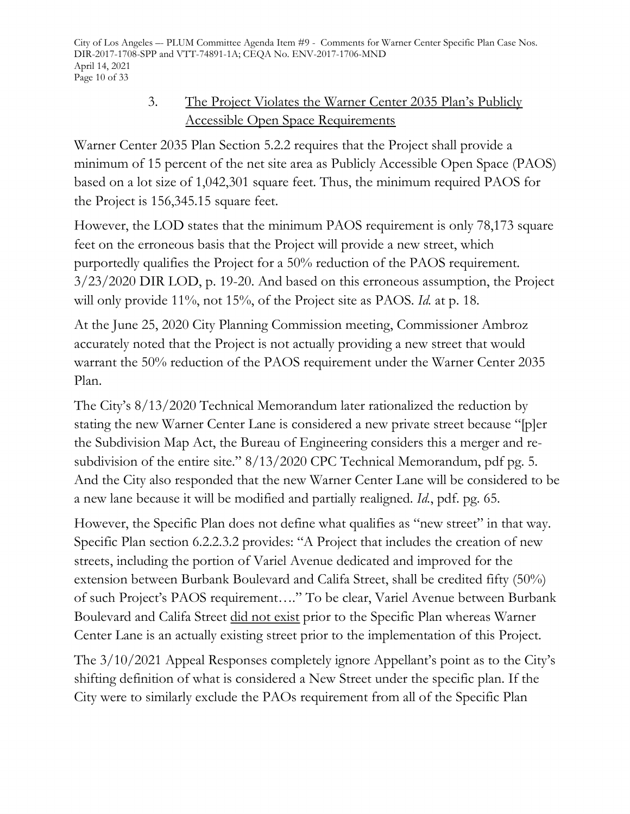City of Los Angeles –- PLUM Committee Agenda Item #9 - Comments for Warner Center Specific Plan Case Nos. DIR-2017-1708-SPP and VTT-74891-1A; CEQA No. ENV-2017-1706-MND April 14, 2021 Page 10 of 33

# 3. The Project Violates the Warner Center 2035 Plan's Publicly Accessible Open Space Requirements

Warner Center 2035 Plan Section 5.2.2 requires that the Project shall provide a minimum of 15 percent of the net site area as Publicly Accessible Open Space (PAOS) based on a lot size of 1,042,301 square feet. Thus, the minimum required PAOS for the Project is 156,345.15 square feet.

However, the LOD states that the minimum PAOS requirement is only 78,173 square feet on the erroneous basis that the Project will provide a new street, which purportedly qualifies the Project for a 50% reduction of the PAOS requirement. 3/23/2020 DIR LOD, p. 19-20. And based on this erroneous assumption, the Project will only provide 11%, not 15%, of the Project site as PAOS. *Id.* at p. 18.

At the June 25, 2020 City Planning Commission meeting, Commissioner Ambroz accurately noted that the Project is not actually providing a new street that would warrant the 50% reduction of the PAOS requirement under the Warner Center 2035 Plan.

The City's 8/13/2020 Technical Memorandum later rationalized the reduction by stating the new Warner Center Lane is considered a new private street because "[p]er the Subdivision Map Act, the Bureau of Engineering considers this a merger and resubdivision of the entire site." 8/13/2020 CPC Technical Memorandum, pdf pg. 5. And the City also responded that the new Warner Center Lane will be considered to be a new lane because it will be modified and partially realigned. *Id.*, pdf. pg. 65.

However, the Specific Plan does not define what qualifies as "new street" in that way. Specific Plan section 6.2.2.3.2 provides: "A Project that includes the creation of new streets, including the portion of Variel Avenue dedicated and improved for the extension between Burbank Boulevard and Califa Street, shall be credited fifty (50%) of such Project's PAOS requirement…." To be clear, Variel Avenue between Burbank Boulevard and Califa Street did not exist prior to the Specific Plan whereas Warner Center Lane is an actually existing street prior to the implementation of this Project.

The 3/10/2021 Appeal Responses completely ignore Appellant's point as to the City's shifting definition of what is considered a New Street under the specific plan. If the City were to similarly exclude the PAOs requirement from all of the Specific Plan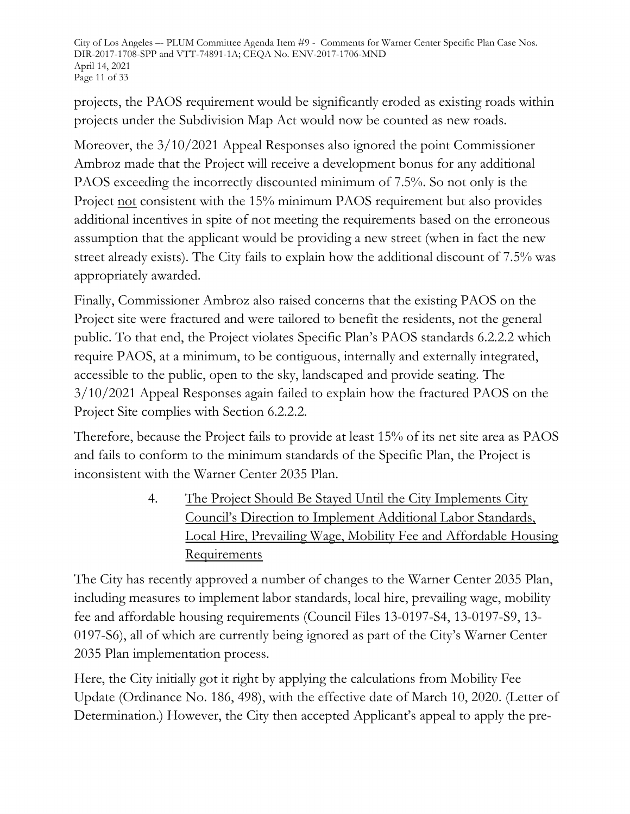City of Los Angeles –- PLUM Committee Agenda Item #9 - Comments for Warner Center Specific Plan Case Nos. DIR-2017-1708-SPP and VTT-74891-1A; CEQA No. ENV-2017-1706-MND April 14, 2021 Page 11 of 33

projects, the PAOS requirement would be significantly eroded as existing roads within projects under the Subdivision Map Act would now be counted as new roads.

Moreover, the 3/10/2021 Appeal Responses also ignored the point Commissioner Ambroz made that the Project will receive a development bonus for any additional PAOS exceeding the incorrectly discounted minimum of 7.5%. So not only is the Project not consistent with the 15% minimum PAOS requirement but also provides additional incentives in spite of not meeting the requirements based on the erroneous assumption that the applicant would be providing a new street (when in fact the new street already exists). The City fails to explain how the additional discount of 7.5% was appropriately awarded.

Finally, Commissioner Ambroz also raised concerns that the existing PAOS on the Project site were fractured and were tailored to benefit the residents, not the general public. To that end, the Project violates Specific Plan's PAOS standards 6.2.2.2 which require PAOS, at a minimum, to be contiguous, internally and externally integrated, accessible to the public, open to the sky, landscaped and provide seating. The 3/10/2021 Appeal Responses again failed to explain how the fractured PAOS on the Project Site complies with Section 6.2.2.2.

Therefore, because the Project fails to provide at least 15% of its net site area as PAOS and fails to conform to the minimum standards of the Specific Plan, the Project is inconsistent with the Warner Center 2035 Plan.

> 4. The Project Should Be Stayed Until the City Implements City Council's Direction to Implement Additional Labor Standards, Local Hire, Prevailing Wage, Mobility Fee and Affordable Housing Requirements

The City has recently approved a number of changes to the Warner Center 2035 Plan, including measures to implement labor standards, local hire, prevailing wage, mobility fee and affordable housing requirements (Council Files 13-0197-S4, 13-0197-S9, 13- 0197-S6), all of which are currently being ignored as part of the City's Warner Center 2035 Plan implementation process.

Here, the City initially got it right by applying the calculations from Mobility Fee Update (Ordinance No. 186, 498), with the effective date of March 10, 2020. (Letter of Determination.) However, the City then accepted Applicant's appeal to apply the pre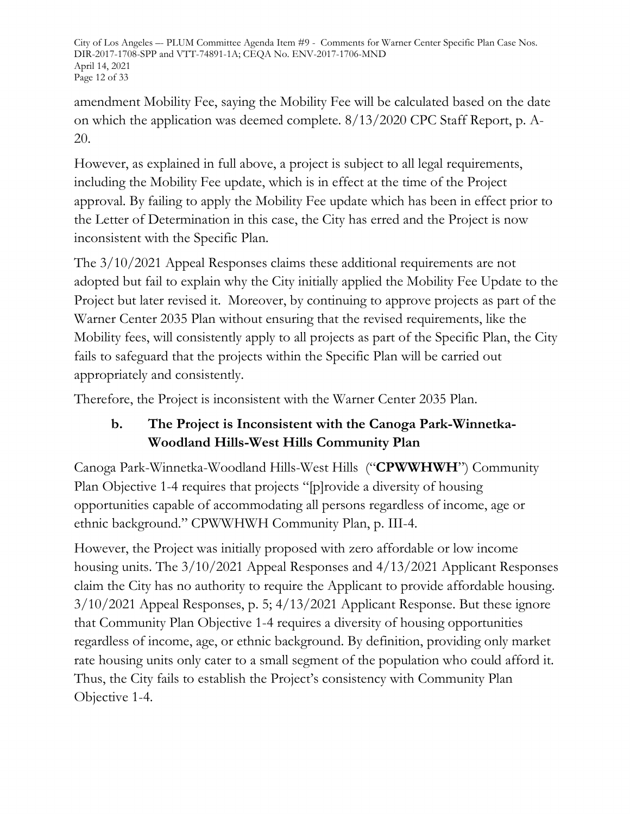City of Los Angeles –- PLUM Committee Agenda Item #9 - Comments for Warner Center Specific Plan Case Nos. DIR-2017-1708-SPP and VTT-74891-1A; CEQA No. ENV-2017-1706-MND April 14, 2021 Page 12 of 33

amendment Mobility Fee, saying the Mobility Fee will be calculated based on the date on which the application was deemed complete. 8/13/2020 CPC Staff Report, p. A-20.

However, as explained in full above, a project is subject to all legal requirements, including the Mobility Fee update, which is in effect at the time of the Project approval. By failing to apply the Mobility Fee update which has been in effect prior to the Letter of Determination in this case, the City has erred and the Project is now inconsistent with the Specific Plan.

The 3/10/2021 Appeal Responses claims these additional requirements are not adopted but fail to explain why the City initially applied the Mobility Fee Update to the Project but later revised it. Moreover, by continuing to approve projects as part of the Warner Center 2035 Plan without ensuring that the revised requirements, like the Mobility fees, will consistently apply to all projects as part of the Specific Plan, the City fails to safeguard that the projects within the Specific Plan will be carried out appropriately and consistently.

Therefore, the Project is inconsistent with the Warner Center 2035 Plan.

# **b. The Project is Inconsistent with the Canoga Park-Winnetka-Woodland Hills-West Hills Community Plan**

Canoga Park-Winnetka-Woodland Hills-West Hills ("**CPWWHWH**") Community Plan Objective 1-4 requires that projects "[p]rovide a diversity of housing opportunities capable of accommodating all persons regardless of income, age or ethnic background." CPWWHWH Community Plan, p. III-4.

However, the Project was initially proposed with zero affordable or low income housing units. The 3/10/2021 Appeal Responses and 4/13/2021 Applicant Responses claim the City has no authority to require the Applicant to provide affordable housing. 3/10/2021 Appeal Responses, p. 5; 4/13/2021 Applicant Response. But these ignore that Community Plan Objective 1-4 requires a diversity of housing opportunities regardless of income, age, or ethnic background. By definition, providing only market rate housing units only cater to a small segment of the population who could afford it. Thus, the City fails to establish the Project's consistency with Community Plan Objective 1-4.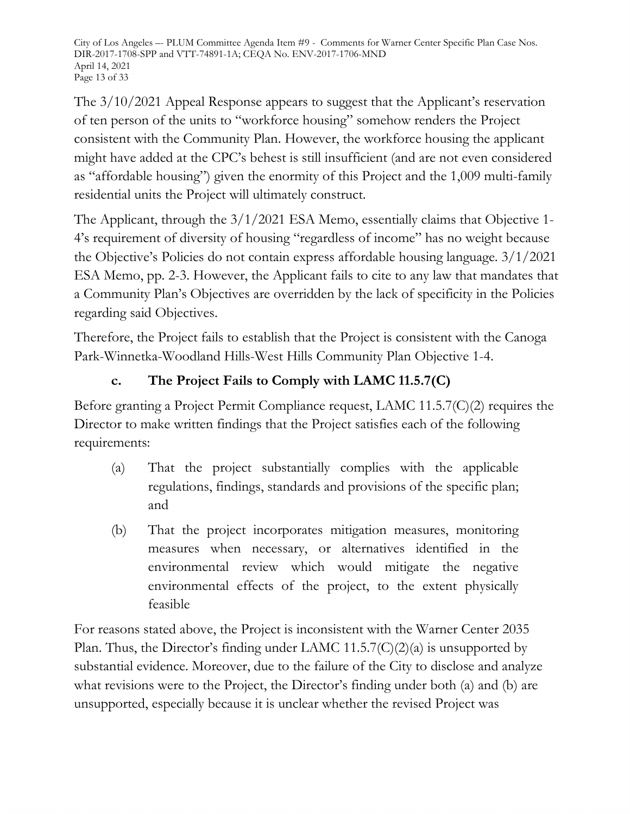City of Los Angeles –- PLUM Committee Agenda Item #9 - Comments for Warner Center Specific Plan Case Nos. DIR-2017-1708-SPP and VTT-74891-1A; CEQA No. ENV-2017-1706-MND April 14, 2021 Page 13 of 33

The 3/10/2021 Appeal Response appears to suggest that the Applicant's reservation of ten person of the units to "workforce housing" somehow renders the Project consistent with the Community Plan. However, the workforce housing the applicant might have added at the CPC's behest is still insufficient (and are not even considered as "affordable housing") given the enormity of this Project and the 1,009 multi-family residential units the Project will ultimately construct.

The Applicant, through the 3/1/2021 ESA Memo, essentially claims that Objective 1- 4's requirement of diversity of housing "regardless of income" has no weight because the Objective's Policies do not contain express affordable housing language. 3/1/2021 ESA Memo, pp. 2-3. However, the Applicant fails to cite to any law that mandates that a Community Plan's Objectives are overridden by the lack of specificity in the Policies regarding said Objectives.

Therefore, the Project fails to establish that the Project is consistent with the Canoga Park-Winnetka-Woodland Hills-West Hills Community Plan Objective 1-4.

# **c. The Project Fails to Comply with LAMC 11.5.7(C)**

Before granting a Project Permit Compliance request, LAMC 11.5.7(C)(2) requires the Director to make written findings that the Project satisfies each of the following requirements:

- (a) That the project substantially complies with the applicable regulations, findings, standards and provisions of the specific plan; and
- (b) That the project incorporates mitigation measures, monitoring measures when necessary, or alternatives identified in the environmental review which would mitigate the negative environmental effects of the project, to the extent physically feasible

For reasons stated above, the Project is inconsistent with the Warner Center 2035 Plan. Thus, the Director's finding under LAMC 11.5.7(C)(2)(a) is unsupported by substantial evidence. Moreover, due to the failure of the City to disclose and analyze what revisions were to the Project, the Director's finding under both (a) and (b) are unsupported, especially because it is unclear whether the revised Project was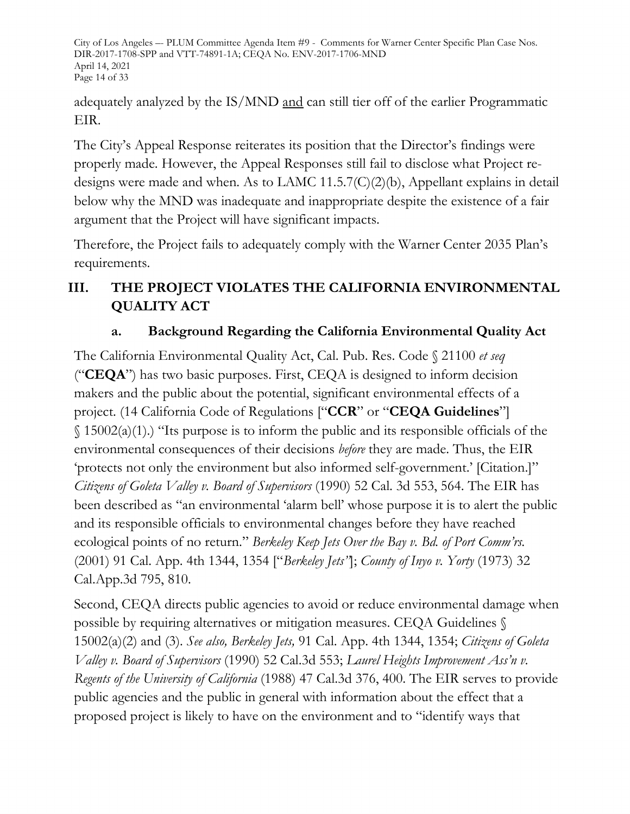City of Los Angeles –- PLUM Committee Agenda Item #9 - Comments for Warner Center Specific Plan Case Nos. DIR-2017-1708-SPP and VTT-74891-1A; CEQA No. ENV-2017-1706-MND April 14, 2021 Page 14 of 33

adequately analyzed by the IS/MND and can still tier off of the earlier Programmatic EIR.

The City's Appeal Response reiterates its position that the Director's findings were properly made. However, the Appeal Responses still fail to disclose what Project redesigns were made and when. As to LAMC 11.5.7(C)(2)(b), Appellant explains in detail below why the MND was inadequate and inappropriate despite the existence of a fair argument that the Project will have significant impacts.

Therefore, the Project fails to adequately comply with the Warner Center 2035 Plan's requirements.

# **III. THE PROJECT VIOLATES THE CALIFORNIA ENVIRONMENTAL QUALITY ACT**

# **a. Background Regarding the California Environmental Quality Act**

The California Environmental Quality Act, Cal. Pub. Res. Code § 21100 *et seq*  ("**CEQA**") has two basic purposes. First, CEQA is designed to inform decision makers and the public about the potential, significant environmental effects of a project. (14 California Code of Regulations ["**CCR**" or "**CEQA Guidelines**"]  $\S 15002(a)(1)$ .) "Its purpose is to inform the public and its responsible officials of the environmental consequences of their decisions *before* they are made. Thus, the EIR 'protects not only the environment but also informed self-government.' [Citation.]" *Citizens of Goleta Valley v. Board of Supervisors* (1990) 52 Cal. 3d 553, 564. The EIR has been described as "an environmental 'alarm bell' whose purpose it is to alert the public and its responsible officials to environmental changes before they have reached ecological points of no return." *Berkeley Keep Jets Over the Bay v. Bd. of Port Comm'rs.*  (2001) 91 Cal. App. 4th 1344, 1354 ["*Berkeley Jets"*]; *County of Inyo v. Yorty* (1973) 32 Cal.App.3d 795, 810.

Second, CEQA directs public agencies to avoid or reduce environmental damage when possible by requiring alternatives or mitigation measures. CEQA Guidelines § 15002(a)(2) and (3). *See also, Berkeley Jets,* 91 Cal. App. 4th 1344, 1354; *Citizens of Goleta Valley v. Board of Supervisors* (1990) 52 Cal.3d 553; *Laurel Heights Improvement Ass'n v. Regents of the University of California* (1988) 47 Cal.3d 376, 400. The EIR serves to provide public agencies and the public in general with information about the effect that a proposed project is likely to have on the environment and to "identify ways that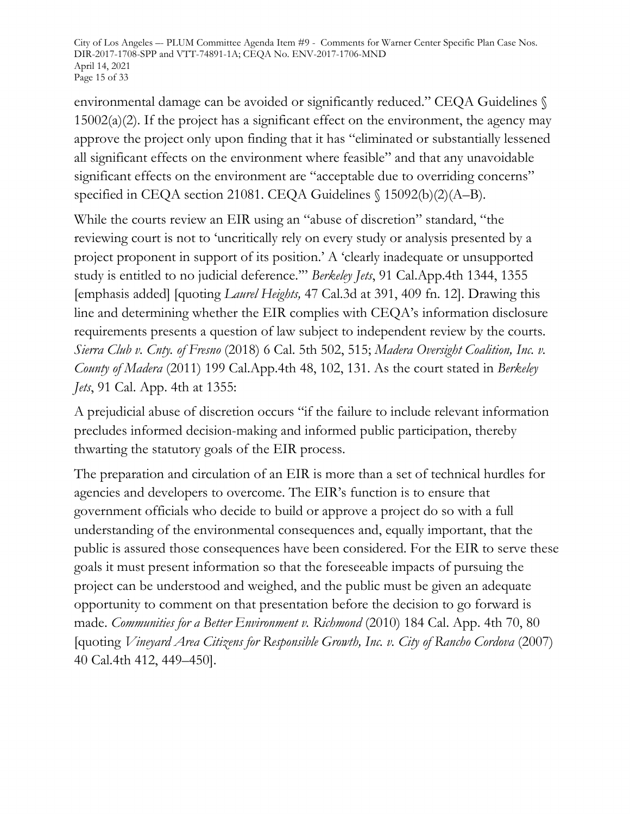City of Los Angeles –- PLUM Committee Agenda Item #9 - Comments for Warner Center Specific Plan Case Nos. DIR-2017-1708-SPP and VTT-74891-1A; CEQA No. ENV-2017-1706-MND April 14, 2021 Page 15 of 33

environmental damage can be avoided or significantly reduced." CEQA Guidelines §  $15002(a)(2)$ . If the project has a significant effect on the environment, the agency may approve the project only upon finding that it has "eliminated or substantially lessened all significant effects on the environment where feasible" and that any unavoidable significant effects on the environment are "acceptable due to overriding concerns" specified in CEQA section 21081. CEQA Guidelines § 15092(b)(2)(A-B).

While the courts review an EIR using an "abuse of discretion" standard, "the reviewing court is not to 'uncritically rely on every study or analysis presented by a project proponent in support of its position.' A 'clearly inadequate or unsupported study is entitled to no judicial deference.'" *Berkeley Jets*, 91 Cal.App.4th 1344, 1355 [emphasis added] [quoting *Laurel Heights,* 47 Cal.3d at 391, 409 fn. 12]. Drawing this line and determining whether the EIR complies with CEQA's information disclosure requirements presents a question of law subject to independent review by the courts. *Sierra Club v. Cnty. of Fresno* (2018) 6 Cal. 5th 502, 515; *Madera Oversight Coalition, Inc. v. County of Madera* (2011) 199 Cal.App.4th 48, 102, 131. As the court stated in *Berkeley Jets*, 91 Cal. App. 4th at 1355:

A prejudicial abuse of discretion occurs "if the failure to include relevant information precludes informed decision-making and informed public participation, thereby thwarting the statutory goals of the EIR process.

The preparation and circulation of an EIR is more than a set of technical hurdles for agencies and developers to overcome. The EIR's function is to ensure that government officials who decide to build or approve a project do so with a full understanding of the environmental consequences and, equally important, that the public is assured those consequences have been considered. For the EIR to serve these goals it must present information so that the foreseeable impacts of pursuing the project can be understood and weighed, and the public must be given an adequate opportunity to comment on that presentation before the decision to go forward is made. *Communities for a Better Environment v. Richmond* (2010) 184 Cal. App. 4th 70, 80 [quoting *Vineyard Area Citizens for Responsible Growth, Inc. v. City of Rancho Cordova* (2007) 40 Cal.4th 412, 449–450].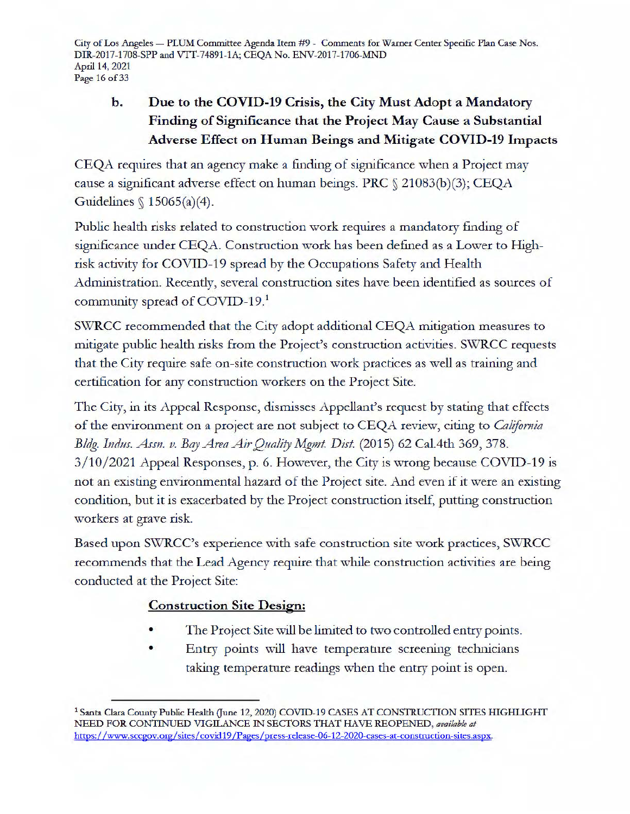City of Los Angeles - PLUM Committee Agenda Item #9 - Comments for Warner Center Specific Plan Case Nos. DIR-2017-1708-SPP and VIT-74891-lA; CEQA No. ENV-2017-1706-MND April 14, 2021 Page 16 of 33

# b. Due to the COVID-19 Crisis, the City Must Adopt a Mandatory **Finding of Significance that the Project May Cause a Substantial Adverse Effect on Human Beings and Mitigate COVID-19 Impacts**

CEQA requires that an agency make a finding of significance when a Project may cause a significant adverse effect on human beings. PRC§ 21083(b)(3); CEQA Guidelines§ 15065(a)(4).

Public health risks related to construction work requires a mandatory finding of significance under CEQA. Construction work has been defined as a Lower to Highrisk activity for COVID-19 spread by the Occupations Safety and Health Administration. Recently, several construction sites have been identified as sources of community spread of COVID-19.<sup>1</sup>

SWRCC recommended that the City adopt additional CEQA mitigation measures to mitigate public health risks from the Project's construction activities. SWRCC requests that the City require safe on-site construction work practices as well as training and certification for any construction workers on the Project Site.

The City, in its Appeal Response, dismisses Appellant's request by stating that effects of the environment on a project are not subject to CEQA review, citing to *California* Bldg. Indus. Assn. v. Bay Area Air Quality Mgmt. Dist. (2015) 62 Cal.4th 369, 378. 3/10/2021 Appeal Responses, p. 6. However, the City is wrong because COVID-19 is not an existing environmental hazard of the Project site. And even if it were an existing condition, but it is exacerbated by the Project construction itself, putting construction workers at grave risk.

Based upon SWRCC's experience with safe construction site work practices, SWRCC recommends that the Lead Agency require that while construction activities are being conducted at the Project Site:

#### **Construction Site Design:**

- The Project Site will be limited to two controlled entry points .
- Entry points will have temperature screening technicians taking temperature readings when the entry point is open.

<sup>&</sup>lt;sup>1</sup> Santa Clara County Public Health (June 12, 2020) COVID-19 CASES AT CONSTRUCTION SITES HIGHLIGHT NEED FOR CONTINUED VIGILANCE IN SECTORS THAT HAVE REOPENED, *available at* https: //www.sccgov.org/ sites/ covid 19 /Pages /press-release-06-12-2020-cases-at-construction-sites.aspx.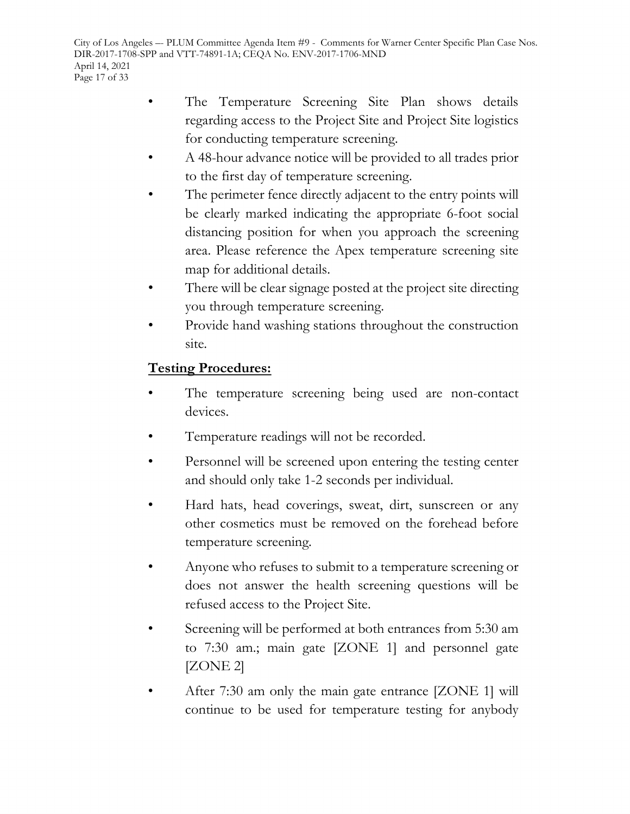City of Los Angeles –- PLUM Committee Agenda Item #9 - Comments for Warner Center Specific Plan Case Nos. DIR-2017-1708-SPP and VTT-74891-1A; CEQA No. ENV-2017-1706-MND April 14, 2021 Page 17 of 33

- The Temperature Screening Site Plan shows details regarding access to the Project Site and Project Site logistics for conducting temperature screening.
- A 48-hour advance notice will be provided to all trades prior to the first day of temperature screening.
- The perimeter fence directly adjacent to the entry points will be clearly marked indicating the appropriate 6-foot social distancing position for when you approach the screening area. Please reference the Apex temperature screening site map for additional details.
- There will be clear signage posted at the project site directing you through temperature screening.
- Provide hand washing stations throughout the construction site.

#### **Testing Procedures:**

- The temperature screening being used are non-contact devices.
- Temperature readings will not be recorded.
- Personnel will be screened upon entering the testing center and should only take 1-2 seconds per individual.
- Hard hats, head coverings, sweat, dirt, sunscreen or any other cosmetics must be removed on the forehead before temperature screening.
- Anyone who refuses to submit to a temperature screening or does not answer the health screening questions will be refused access to the Project Site.
- Screening will be performed at both entrances from 5:30 am to 7:30 am.; main gate [ZONE 1] and personnel gate [ZONE 2]
- After 7:30 am only the main gate entrance [ZONE 1] will continue to be used for temperature testing for anybody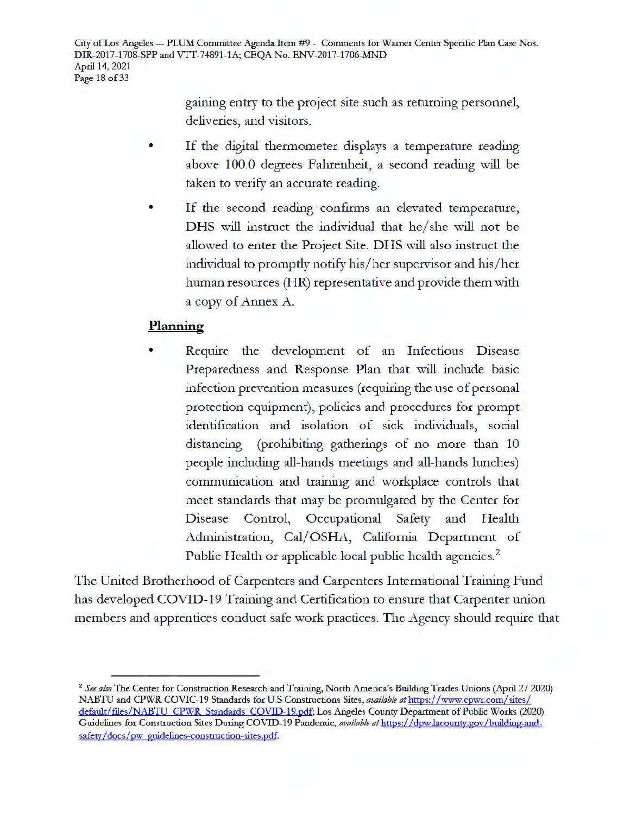City of Los Angeles - PLUM Committee Agenda Item #9 - Comments for Warner Center Specific Plan Case Nos. DIR-2017-1708-SPP and VIT-74891-lA; CEQA No. ENV-2017-1706-MND April 14, 2021 Page 18 of 33

> gaining entry to the project site such as returning personnel, deliveries, and visitors.

- If the digital thermometer displays a temperature reading above 100.0 degrees Fahrenheit, a second reading will be taken to verify an accurate reading.
- If the second reading confirms an elevated temperature, DHS will instruct the individual that he/she will not be allowed to enter the Project Site. DHS will also instruct the individual to promptly notify his/her supervisor and his/her human resources **(HR)** representative and provide them with a copy of Annex A.

#### **Planning**

Require the development of an Infectious Disease Preparedness and Response Plan that will include basic infection prevention measures (requiring the use of personal protection equipment), policies and procedures for prompt identification and isolation of sick individuals, social distancing (prohibiting gatherings of no more than 10 people including all-hands meetings and all-hands lunches) communication and training and workplace controls that meet standards that may be promulgated by the Center for Disease Control, Occupational Safety and Health Administration, Cal/OSHA, California Department of Public Health or applicable local public health agencies.<sup>2</sup>

The United Brotherhood of Carpenters and Carpenters International Training Fund has developed COVID-19 Training and Certification to ensure that Carpenter union members and apprentices conduct safe work practices. The Agency should require that

<sup>2</sup>*See also* The Center for Construction Research and Training, North America's Building Trades Unions (April 27 2020) NABTU and CPWR COVIC-19 Standards for U.S Constructions Sites, *available at* https://www.cpwr.com/ sites/ default/files/NABTU CPWR Standards COVID-19.pdf; Los Angeles County Department of Public Works (2020) Guidelines for Construction Sites During COVID-19 Pandemic, *available at* https: // dpw.lacounty.gov /building-andsafety/docs/pw guidelines-construction-sites.pdf.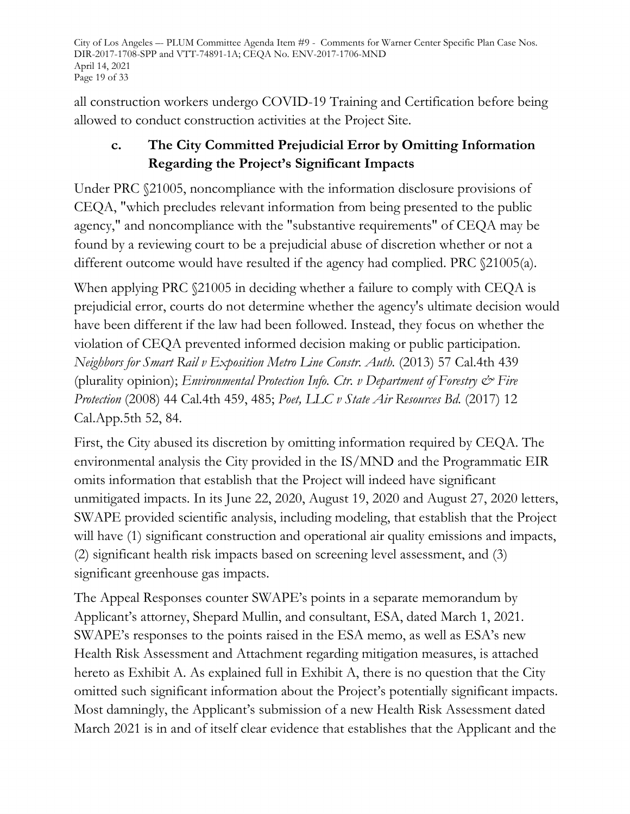City of Los Angeles –- PLUM Committee Agenda Item #9 - Comments for Warner Center Specific Plan Case Nos. DIR-2017-1708-SPP and VTT-74891-1A; CEQA No. ENV-2017-1706-MND April 14, 2021 Page 19 of 33

all construction workers undergo COVID-19 Training and Certification before being allowed to conduct construction activities at the Project Site.

# **c. The City Committed Prejudicial Error by Omitting Information Regarding the Project's Significant Impacts**

Under PRC §21005, noncompliance with the information disclosure provisions of CEQA, "which precludes relevant information from being presented to the public agency," and noncompliance with the "substantive requirements" of CEQA may be found by a reviewing court to be a prejudicial abuse of discretion whether or not a different outcome would have resulted if the agency had complied. PRC §21005(a).

When applying PRC  $$21005$  in deciding whether a failure to comply with CEQA is prejudicial error, courts do not determine whether the agency's ultimate decision would have been different if the law had been followed. Instead, they focus on whether the violation of CEQA prevented informed decision making or public participation. *Neighbors for Smart Rail v Exposition Metro Line Constr. Auth.* (2013) 57 Cal.4th 439 (plurality opinion); *Environmental Protection Info. Ctr. v Department of Forestry & Fire Protection* (2008) 44 Cal.4th 459, 485; *Poet, LLC v State Air Resources Bd.* (2017) 12 Cal.App.5th 52, 84.

First, the City abused its discretion by omitting information required by CEQA. The environmental analysis the City provided in the IS/MND and the Programmatic EIR omits information that establish that the Project will indeed have significant unmitigated impacts. In its June 22, 2020, August 19, 2020 and August 27, 2020 letters, SWAPE provided scientific analysis, including modeling, that establish that the Project will have (1) significant construction and operational air quality emissions and impacts, (2) significant health risk impacts based on screening level assessment, and (3) significant greenhouse gas impacts.

The Appeal Responses counter SWAPE's points in a separate memorandum by Applicant's attorney, Shepard Mullin, and consultant, ESA, dated March 1, 2021. SWAPE's responses to the points raised in the ESA memo, as well as ESA's new Health Risk Assessment and Attachment regarding mitigation measures, is attached hereto as Exhibit A. As explained full in Exhibit A, there is no question that the City omitted such significant information about the Project's potentially significant impacts. Most damningly, the Applicant's submission of a new Health Risk Assessment dated March 2021 is in and of itself clear evidence that establishes that the Applicant and the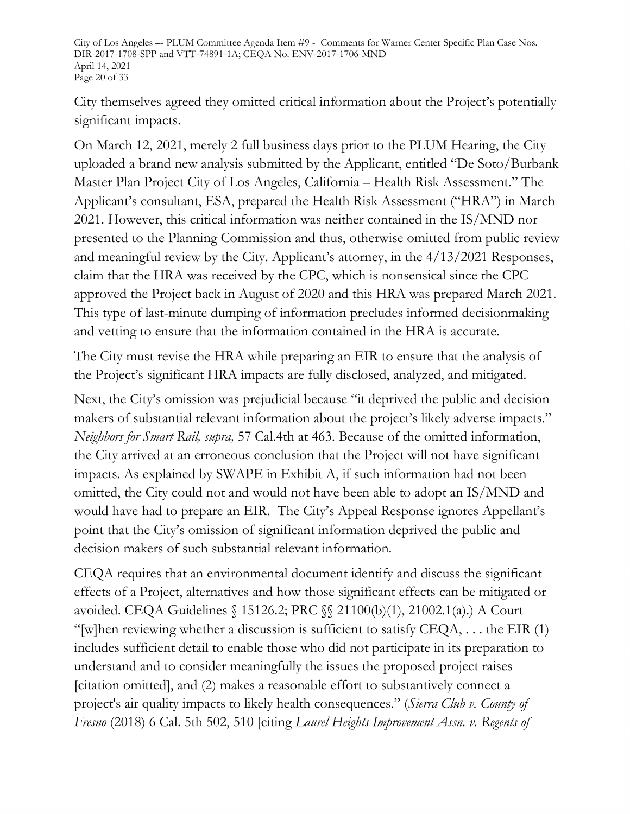City of Los Angeles –- PLUM Committee Agenda Item #9 - Comments for Warner Center Specific Plan Case Nos. DIR-2017-1708-SPP and VTT-74891-1A; CEQA No. ENV-2017-1706-MND April 14, 2021 Page 20 of 33

City themselves agreed they omitted critical information about the Project's potentially significant impacts.

On March 12, 2021, merely 2 full business days prior to the PLUM Hearing, the City uploaded a brand new analysis submitted by the Applicant, entitled "De Soto/Burbank Master Plan Project City of Los Angeles, California – Health Risk Assessment." The Applicant's consultant, ESA, prepared the Health Risk Assessment ("HRA") in March 2021. However, this critical information was neither contained in the IS/MND nor presented to the Planning Commission and thus, otherwise omitted from public review and meaningful review by the City. Applicant's attorney, in the 4/13/2021 Responses, claim that the HRA was received by the CPC, which is nonsensical since the CPC approved the Project back in August of 2020 and this HRA was prepared March 2021. This type of last-minute dumping of information precludes informed decisionmaking and vetting to ensure that the information contained in the HRA is accurate.

The City must revise the HRA while preparing an EIR to ensure that the analysis of the Project's significant HRA impacts are fully disclosed, analyzed, and mitigated.

Next, the City's omission was prejudicial because "it deprived the public and decision makers of substantial relevant information about the project's likely adverse impacts." *Neighbors for Smart Rail, supra,* 57 Cal.4th at 463. Because of the omitted information, the City arrived at an erroneous conclusion that the Project will not have significant impacts. As explained by SWAPE in Exhibit A, if such information had not been omitted, the City could not and would not have been able to adopt an IS/MND and would have had to prepare an EIR. The City's Appeal Response ignores Appellant's point that the City's omission of significant information deprived the public and decision makers of such substantial relevant information.

CEQA requires that an environmental document identify and discuss the significant effects of a Project, alternatives and how those significant effects can be mitigated or avoided. CEQA Guidelines § 15126.2; PRC §§ 21100(b)(1), 21002.1(a).) A Court "[w]hen reviewing whether a discussion is sufficient to satisfy  $CEQA$ , ... the EIR (1) includes sufficient detail to enable those who did not participate in its preparation to understand and to consider meaningfully the issues the proposed project raises [citation omitted], and (2) makes a reasonable effort to substantively connect a project's air quality impacts to likely health consequences." (*Sierra Club v. County of Fresno* (2018) 6 Cal. 5th 502, 510 [citing *Laurel Heights Improvement Assn. v. Regents of*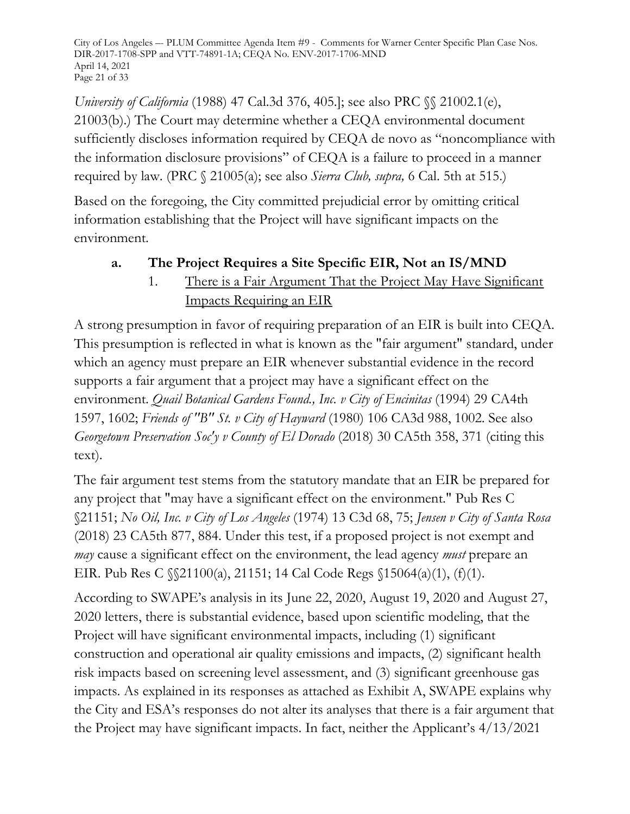City of Los Angeles –- PLUM Committee Agenda Item #9 - Comments for Warner Center Specific Plan Case Nos. DIR-2017-1708-SPP and VTT-74891-1A; CEQA No. ENV-2017-1706-MND April 14, 2021 Page 21 of 33

*University of California* (1988) 47 Cal.3d 376, 405.]; see also PRC  $\%$  21002.1(e), 21003(b).) The Court may determine whether a CEQA environmental document sufficiently discloses information required by CEQA de novo as "noncompliance with the information disclosure provisions" of CEQA is a failure to proceed in a manner required by law. (PRC § 21005(a); see also *Sierra Club, supra,* 6 Cal. 5th at 515.)

Based on the foregoing, the City committed prejudicial error by omitting critical information establishing that the Project will have significant impacts on the environment.

# **a. The Project Requires a Site Specific EIR, Not an IS/MND**

1. There is a Fair Argument That the Project May Have Significant Impacts Requiring an EIR

A strong presumption in favor of requiring preparation of an EIR is built into CEQA. This presumption is reflected in what is known as the "fair argument" standard, under which an agency must prepare an EIR whenever substantial evidence in the record supports a fair argument that a project may have a significant effect on the environment. *Quail Botanical Gardens Found., Inc. v City of Encinitas* (1994) 29 CA4th 1597, 1602; *Friends of "B" St. v City of Hayward* (1980) 106 CA3d 988, 1002. See also *Georgetown Preservation Soc'y v County of El Dorado* (2018) 30 CA5th 358, 371 (citing this text).

The fair argument test stems from the statutory mandate that an EIR be prepared for any project that "may have a significant effect on the environment." Pub Res C §21151; *No Oil, Inc. v City of Los Angeles* (1974) 13 C3d 68, 75; *Jensen v City of Santa Rosa* (2018) 23 CA5th 877, 884. Under this test, if a proposed project is not exempt and *may* cause a significant effect on the environment, the lead agency *must* prepare an EIR. Pub Res C §§21100(a), 21151; 14 Cal Code Regs §15064(a)(1), (f)(1).

According to SWAPE's analysis in its June 22, 2020, August 19, 2020 and August 27, 2020 letters, there is substantial evidence, based upon scientific modeling, that the Project will have significant environmental impacts, including (1) significant construction and operational air quality emissions and impacts, (2) significant health risk impacts based on screening level assessment, and (3) significant greenhouse gas impacts. As explained in its responses as attached as Exhibit A, SWAPE explains why the City and ESA's responses do not alter its analyses that there is a fair argument that the Project may have significant impacts. In fact, neither the Applicant's 4/13/2021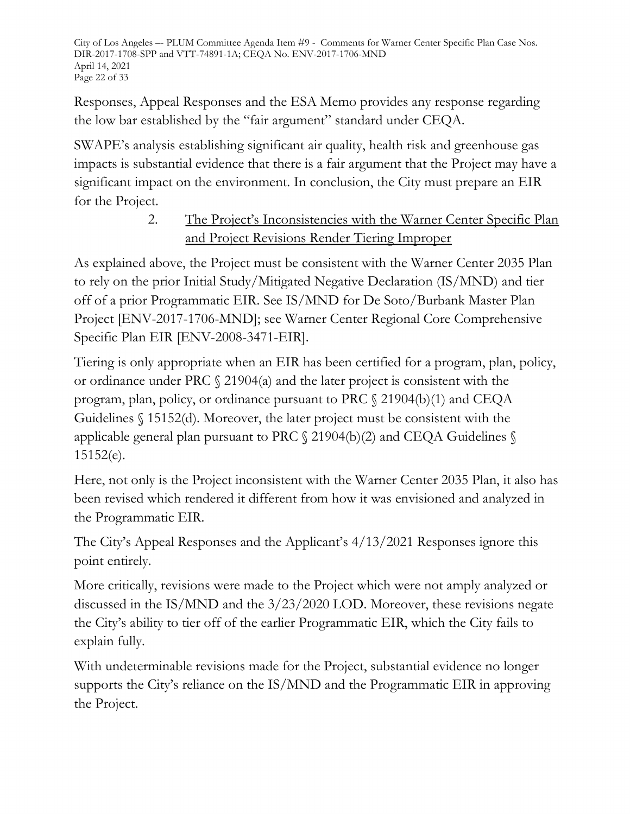City of Los Angeles –- PLUM Committee Agenda Item #9 - Comments for Warner Center Specific Plan Case Nos. DIR-2017-1708-SPP and VTT-74891-1A; CEQA No. ENV-2017-1706-MND April 14, 2021 Page 22 of 33

Responses, Appeal Responses and the ESA Memo provides any response regarding the low bar established by the "fair argument" standard under CEQA.

SWAPE's analysis establishing significant air quality, health risk and greenhouse gas impacts is substantial evidence that there is a fair argument that the Project may have a significant impact on the environment. In conclusion, the City must prepare an EIR for the Project.

# 2. The Project's Inconsistencies with the Warner Center Specific Plan and Project Revisions Render Tiering Improper

As explained above, the Project must be consistent with the Warner Center 2035 Plan to rely on the prior Initial Study/Mitigated Negative Declaration (IS/MND) and tier off of a prior Programmatic EIR. See IS/MND for De Soto/Burbank Master Plan Project [ENV-2017-1706-MND]; see Warner Center Regional Core Comprehensive Specific Plan EIR [ENV-2008-3471-EIR].

Tiering is only appropriate when an EIR has been certified for a program, plan, policy, or ordinance under PRC § 21904(a) and the later project is consistent with the program, plan, policy, or ordinance pursuant to PRC § 21904(b)(1) and CEQA Guidelines § 15152(d). Moreover, the later project must be consistent with the applicable general plan pursuant to PRC § 21904(b)(2) and CEQA Guidelines § 15152(e).

Here, not only is the Project inconsistent with the Warner Center 2035 Plan, it also has been revised which rendered it different from how it was envisioned and analyzed in the Programmatic EIR.

The City's Appeal Responses and the Applicant's 4/13/2021 Responses ignore this point entirely.

More critically, revisions were made to the Project which were not amply analyzed or discussed in the IS/MND and the 3/23/2020 LOD. Moreover, these revisions negate the City's ability to tier off of the earlier Programmatic EIR, which the City fails to explain fully.

With undeterminable revisions made for the Project, substantial evidence no longer supports the City's reliance on the IS/MND and the Programmatic EIR in approving the Project.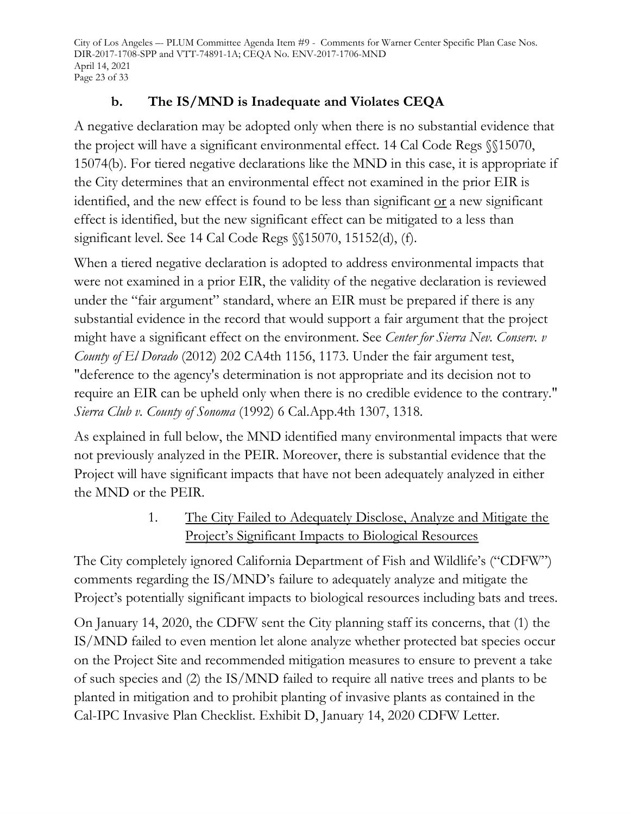City of Los Angeles –- PLUM Committee Agenda Item #9 - Comments for Warner Center Specific Plan Case Nos. DIR-2017-1708-SPP and VTT-74891-1A; CEQA No. ENV-2017-1706-MND April 14, 2021 Page 23 of 33

# **b. The IS/MND is Inadequate and Violates CEQA**

A negative declaration may be adopted only when there is no substantial evidence that the project will have a significant environmental effect. 14 Cal Code Regs §§15070, 15074(b). For tiered negative declarations like the MND in this case, it is appropriate if the City determines that an environmental effect not examined in the prior EIR is identified, and the new effect is found to be less than significant or a new significant effect is identified, but the new significant effect can be mitigated to a less than significant level. See 14 Cal Code Regs §§15070, 15152(d), (f).

When a tiered negative declaration is adopted to address environmental impacts that were not examined in a prior EIR, the validity of the negative declaration is reviewed under the "fair argument" standard, where an EIR must be prepared if there is any substantial evidence in the record that would support a fair argument that the project might have a significant effect on the environment. See *Center for Sierra Nev. Conserv. v County of El Dorado* (2012) 202 CA4th 1156, 1173. Under the fair argument test, "deference to the agency's determination is not appropriate and its decision not to require an EIR can be upheld only when there is no credible evidence to the contrary." *Sierra Club v. County of Sonoma* (1992) 6 Cal.App.4th 1307, 1318.

As explained in full below, the MND identified many environmental impacts that were not previously analyzed in the PEIR. Moreover, there is substantial evidence that the Project will have significant impacts that have not been adequately analyzed in either the MND or the PEIR.

> 1. The City Failed to Adequately Disclose, Analyze and Mitigate the Project's Significant Impacts to Biological Resources

The City completely ignored California Department of Fish and Wildlife's ("CDFW") comments regarding the IS/MND's failure to adequately analyze and mitigate the Project's potentially significant impacts to biological resources including bats and trees.

On January 14, 2020, the CDFW sent the City planning staff its concerns, that (1) the IS/MND failed to even mention let alone analyze whether protected bat species occur on the Project Site and recommended mitigation measures to ensure to prevent a take of such species and (2) the IS/MND failed to require all native trees and plants to be planted in mitigation and to prohibit planting of invasive plants as contained in the Cal-IPC Invasive Plan Checklist. Exhibit D, January 14, 2020 CDFW Letter.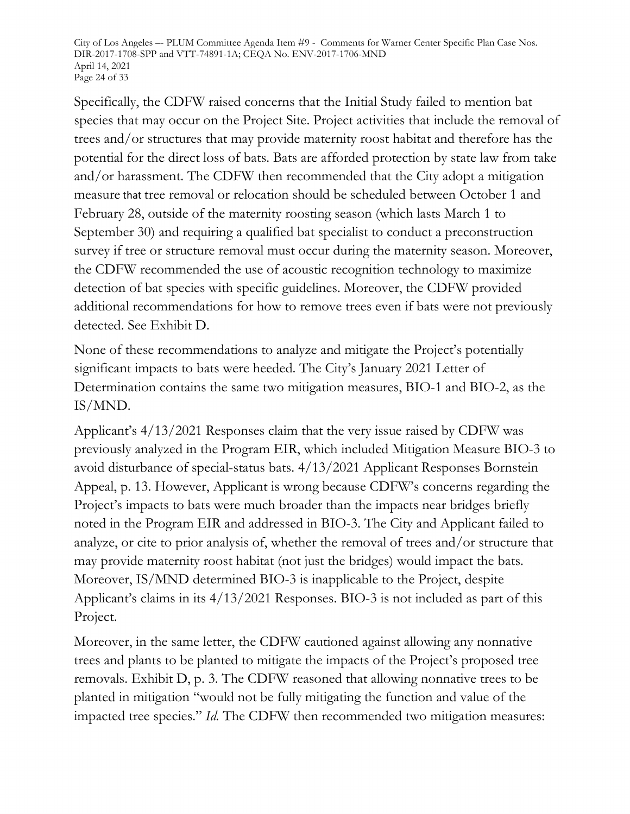City of Los Angeles –- PLUM Committee Agenda Item #9 - Comments for Warner Center Specific Plan Case Nos. DIR-2017-1708-SPP and VTT-74891-1A; CEQA No. ENV-2017-1706-MND April 14, 2021 Page 24 of 33

Specifically, the CDFW raised concerns that the Initial Study failed to mention bat species that may occur on the Project Site. Project activities that include the removal of trees and/or structures that may provide maternity roost habitat and therefore has the potential for the direct loss of bats. Bats are afforded protection by state law from take and/or harassment. The CDFW then recommended that the City adopt a mitigation measure that tree removal or relocation should be scheduled between October 1 and February 28, outside of the maternity roosting season (which lasts March 1 to September 30) and requiring a qualified bat specialist to conduct a preconstruction survey if tree or structure removal must occur during the maternity season. Moreover, the CDFW recommended the use of acoustic recognition technology to maximize detection of bat species with specific guidelines. Moreover, the CDFW provided additional recommendations for how to remove trees even if bats were not previously detected. See Exhibit D.

None of these recommendations to analyze and mitigate the Project's potentially significant impacts to bats were heeded. The City's January 2021 Letter of Determination contains the same two mitigation measures, BIO-1 and BIO-2, as the IS/MND.

Applicant's 4/13/2021 Responses claim that the very issue raised by CDFW was previously analyzed in the Program EIR, which included Mitigation Measure BIO-3 to avoid disturbance of special-status bats. 4/13/2021 Applicant Responses Bornstein Appeal, p. 13. However, Applicant is wrong because CDFW's concerns regarding the Project's impacts to bats were much broader than the impacts near bridges briefly noted in the Program EIR and addressed in BIO-3. The City and Applicant failed to analyze, or cite to prior analysis of, whether the removal of trees and/or structure that may provide maternity roost habitat (not just the bridges) would impact the bats. Moreover, IS/MND determined BIO-3 is inapplicable to the Project, despite Applicant's claims in its 4/13/2021 Responses. BIO-3 is not included as part of this Project.

Moreover, in the same letter, the CDFW cautioned against allowing any nonnative trees and plants to be planted to mitigate the impacts of the Project's proposed tree removals. Exhibit D, p. 3. The CDFW reasoned that allowing nonnative trees to be planted in mitigation "would not be fully mitigating the function and value of the impacted tree species." *Id.* The CDFW then recommended two mitigation measures: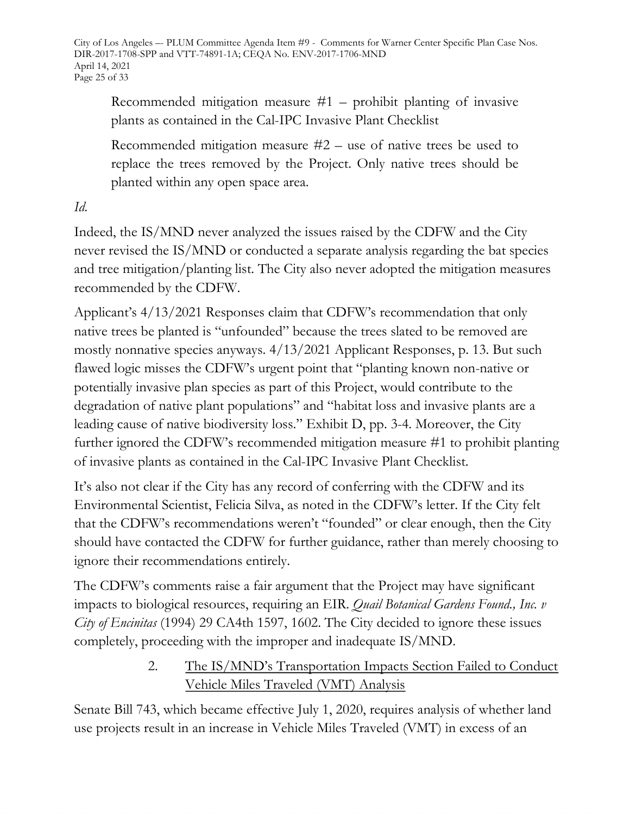City of Los Angeles –- PLUM Committee Agenda Item #9 - Comments for Warner Center Specific Plan Case Nos. DIR-2017-1708-SPP and VTT-74891-1A; CEQA No. ENV-2017-1706-MND April 14, 2021 Page 25 of 33

Recommended mitigation measure  $#1$  – prohibit planting of invasive plants as contained in the Cal-IPC Invasive Plant Checklist

Recommended mitigation measure  $#2$  – use of native trees be used to replace the trees removed by the Project. Only native trees should be planted within any open space area.

*Id.*

Indeed, the IS/MND never analyzed the issues raised by the CDFW and the City never revised the IS/MND or conducted a separate analysis regarding the bat species and tree mitigation/planting list. The City also never adopted the mitigation measures recommended by the CDFW.

Applicant's 4/13/2021 Responses claim that CDFW's recommendation that only native trees be planted is "unfounded" because the trees slated to be removed are mostly nonnative species anyways. 4/13/2021 Applicant Responses, p. 13. But such flawed logic misses the CDFW's urgent point that "planting known non-native or potentially invasive plan species as part of this Project, would contribute to the degradation of native plant populations" and "habitat loss and invasive plants are a leading cause of native biodiversity loss." Exhibit D, pp. 3-4. Moreover, the City further ignored the CDFW's recommended mitigation measure #1 to prohibit planting of invasive plants as contained in the Cal-IPC Invasive Plant Checklist.

It's also not clear if the City has any record of conferring with the CDFW and its Environmental Scientist, Felicia Silva, as noted in the CDFW's letter. If the City felt that the CDFW's recommendations weren't "founded" or clear enough, then the City should have contacted the CDFW for further guidance, rather than merely choosing to ignore their recommendations entirely.

The CDFW's comments raise a fair argument that the Project may have significant impacts to biological resources, requiring an EIR. *Quail Botanical Gardens Found., Inc. v City of Encinitas* (1994) 29 CA4th 1597, 1602. The City decided to ignore these issues completely, proceeding with the improper and inadequate IS/MND.

# 2. The IS/MND's Transportation Impacts Section Failed to Conduct Vehicle Miles Traveled (VMT) Analysis

Senate Bill 743, which became effective July 1, 2020, requires analysis of whether land use projects result in an increase in Vehicle Miles Traveled (VMT) in excess of an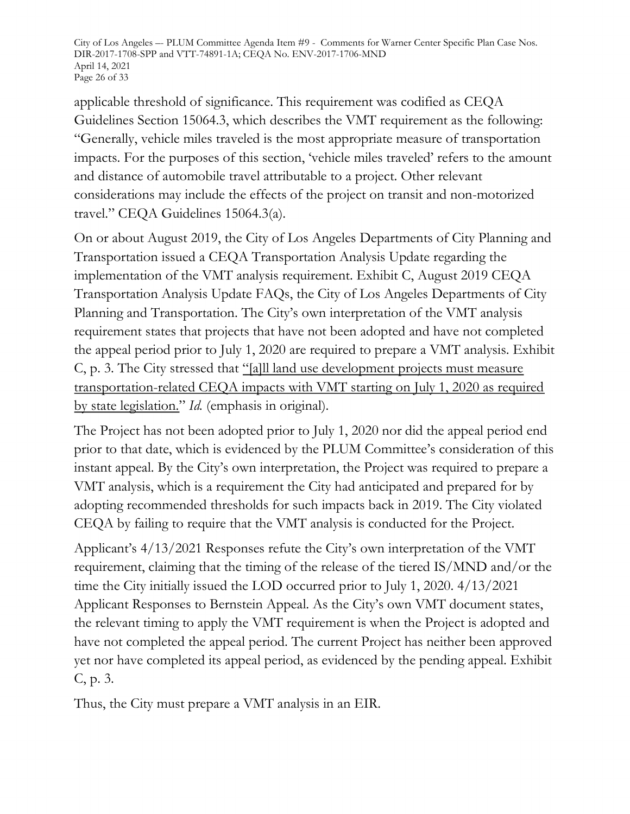City of Los Angeles –- PLUM Committee Agenda Item #9 - Comments for Warner Center Specific Plan Case Nos. DIR-2017-1708-SPP and VTT-74891-1A; CEQA No. ENV-2017-1706-MND April 14, 2021 Page 26 of 33

applicable threshold of significance. This requirement was codified as CEQA Guidelines Section 15064.3, which describes the VMT requirement as the following: "Generally, vehicle miles traveled is the most appropriate measure of transportation impacts. For the purposes of this section, 'vehicle miles traveled' refers to the amount and distance of automobile travel attributable to a project. Other relevant considerations may include the effects of the project on transit and non-motorized travel." CEQA Guidelines 15064.3(a).

On or about August 2019, the City of Los Angeles Departments of City Planning and Transportation issued a CEQA Transportation Analysis Update regarding the implementation of the VMT analysis requirement. Exhibit C, August 2019 CEQA Transportation Analysis Update FAQs, the City of Los Angeles Departments of City Planning and Transportation. The City's own interpretation of the VMT analysis requirement states that projects that have not been adopted and have not completed the appeal period prior to July 1, 2020 are required to prepare a VMT analysis. Exhibit C, p. 3. The City stressed that "[a]ll land use development projects must measure transportation-related CEQA impacts with VMT starting on July 1, 2020 as required by state legislation." *Id.* (emphasis in original).

The Project has not been adopted prior to July 1, 2020 nor did the appeal period end prior to that date, which is evidenced by the PLUM Committee's consideration of this instant appeal. By the City's own interpretation, the Project was required to prepare a VMT analysis, which is a requirement the City had anticipated and prepared for by adopting recommended thresholds for such impacts back in 2019. The City violated CEQA by failing to require that the VMT analysis is conducted for the Project.

Applicant's 4/13/2021 Responses refute the City's own interpretation of the VMT requirement, claiming that the timing of the release of the tiered IS/MND and/or the time the City initially issued the LOD occurred prior to July 1, 2020. 4/13/2021 Applicant Responses to Bernstein Appeal. As the City's own VMT document states, the relevant timing to apply the VMT requirement is when the Project is adopted and have not completed the appeal period. The current Project has neither been approved yet nor have completed its appeal period, as evidenced by the pending appeal. Exhibit C, p. 3.

Thus, the City must prepare a VMT analysis in an EIR.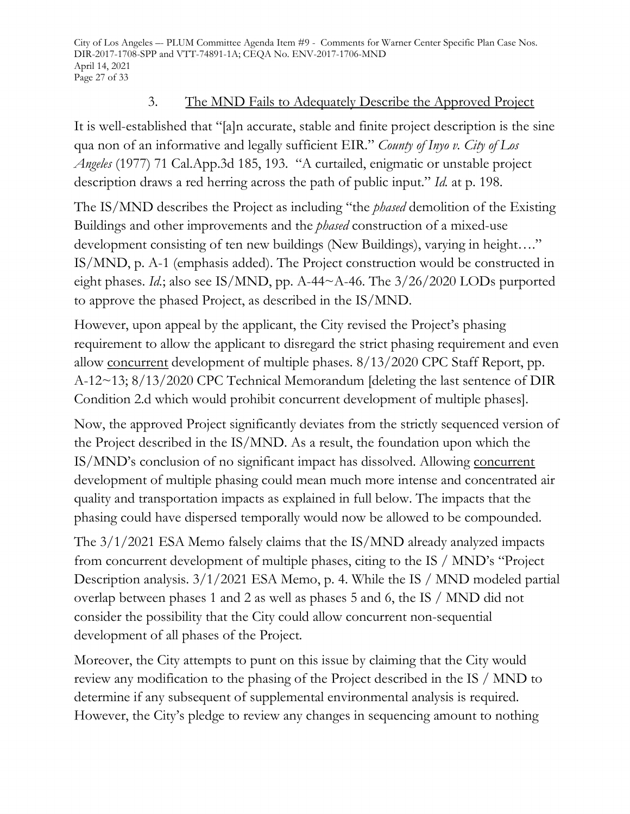City of Los Angeles –- PLUM Committee Agenda Item #9 - Comments for Warner Center Specific Plan Case Nos. DIR-2017-1708-SPP and VTT-74891-1A; CEQA No. ENV-2017-1706-MND April 14, 2021 Page 27 of 33

#### 3. The MND Fails to Adequately Describe the Approved Project

It is well-established that "[a]n accurate, stable and finite project description is the sine qua non of an informative and legally sufficient EIR." *County of Inyo v. City of Los Angeles* (1977) 71 Cal.App.3d 185, 193. "A curtailed, enigmatic or unstable project description draws a red herring across the path of public input." *Id.* at p. 198.

The IS/MND describes the Project as including "the *phased* demolition of the Existing Buildings and other improvements and the *phased* construction of a mixed-use development consisting of ten new buildings (New Buildings), varying in height...." IS/MND, p. A-1 (emphasis added). The Project construction would be constructed in eight phases. *Id.*; also see IS/MND, pp. A-44~A-46. The 3/26/2020 LODs purported to approve the phased Project, as described in the IS/MND.

However, upon appeal by the applicant, the City revised the Project's phasing requirement to allow the applicant to disregard the strict phasing requirement and even allow concurrent development of multiple phases. 8/13/2020 CPC Staff Report, pp. A-12~13; 8/13/2020 CPC Technical Memorandum [deleting the last sentence of DIR Condition 2.d which would prohibit concurrent development of multiple phases].

Now, the approved Project significantly deviates from the strictly sequenced version of the Project described in the IS/MND. As a result, the foundation upon which the IS/MND's conclusion of no significant impact has dissolved. Allowing concurrent development of multiple phasing could mean much more intense and concentrated air quality and transportation impacts as explained in full below. The impacts that the phasing could have dispersed temporally would now be allowed to be compounded.

The 3/1/2021 ESA Memo falsely claims that the IS/MND already analyzed impacts from concurrent development of multiple phases, citing to the IS / MND's "Project Description analysis. 3/1/2021 ESA Memo, p. 4. While the IS / MND modeled partial overlap between phases 1 and 2 as well as phases 5 and 6, the IS / MND did not consider the possibility that the City could allow concurrent non-sequential development of all phases of the Project.

Moreover, the City attempts to punt on this issue by claiming that the City would review any modification to the phasing of the Project described in the IS / MND to determine if any subsequent of supplemental environmental analysis is required. However, the City's pledge to review any changes in sequencing amount to nothing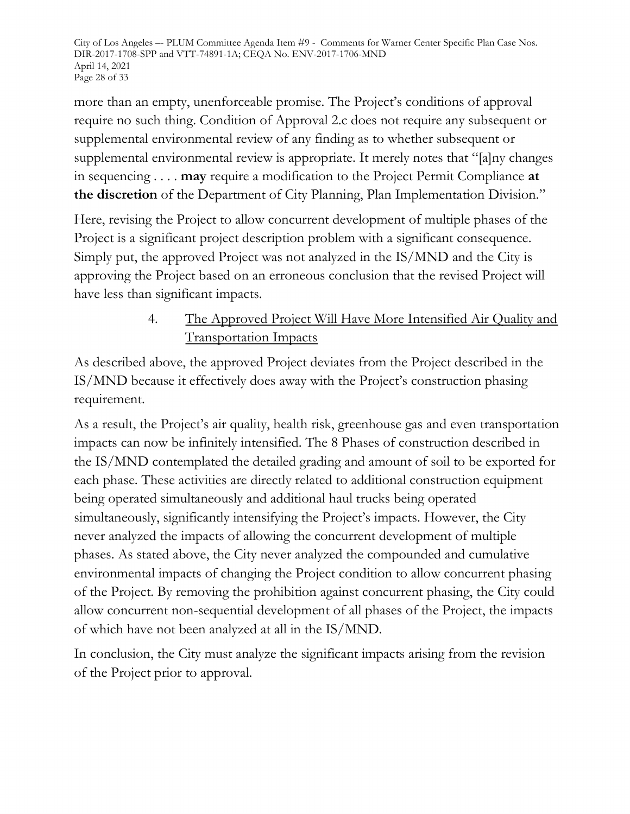City of Los Angeles –- PLUM Committee Agenda Item #9 - Comments for Warner Center Specific Plan Case Nos. DIR-2017-1708-SPP and VTT-74891-1A; CEQA No. ENV-2017-1706-MND April 14, 2021 Page 28 of 33

more than an empty, unenforceable promise. The Project's conditions of approval require no such thing. Condition of Approval 2.c does not require any subsequent or supplemental environmental review of any finding as to whether subsequent or supplemental environmental review is appropriate. It merely notes that "[a]ny changes in sequencing . . . . **may** require a modification to the Project Permit Compliance **at the discretion** of the Department of City Planning, Plan Implementation Division."

Here, revising the Project to allow concurrent development of multiple phases of the Project is a significant project description problem with a significant consequence. Simply put, the approved Project was not analyzed in the IS/MND and the City is approving the Project based on an erroneous conclusion that the revised Project will have less than significant impacts.

# 4. The Approved Project Will Have More Intensified Air Quality and Transportation Impacts

As described above, the approved Project deviates from the Project described in the IS/MND because it effectively does away with the Project's construction phasing requirement.

As a result, the Project's air quality, health risk, greenhouse gas and even transportation impacts can now be infinitely intensified. The 8 Phases of construction described in the IS/MND contemplated the detailed grading and amount of soil to be exported for each phase. These activities are directly related to additional construction equipment being operated simultaneously and additional haul trucks being operated simultaneously, significantly intensifying the Project's impacts. However, the City never analyzed the impacts of allowing the concurrent development of multiple phases. As stated above, the City never analyzed the compounded and cumulative environmental impacts of changing the Project condition to allow concurrent phasing of the Project. By removing the prohibition against concurrent phasing, the City could allow concurrent non-sequential development of all phases of the Project, the impacts of which have not been analyzed at all in the IS/MND.

In conclusion, the City must analyze the significant impacts arising from the revision of the Project prior to approval.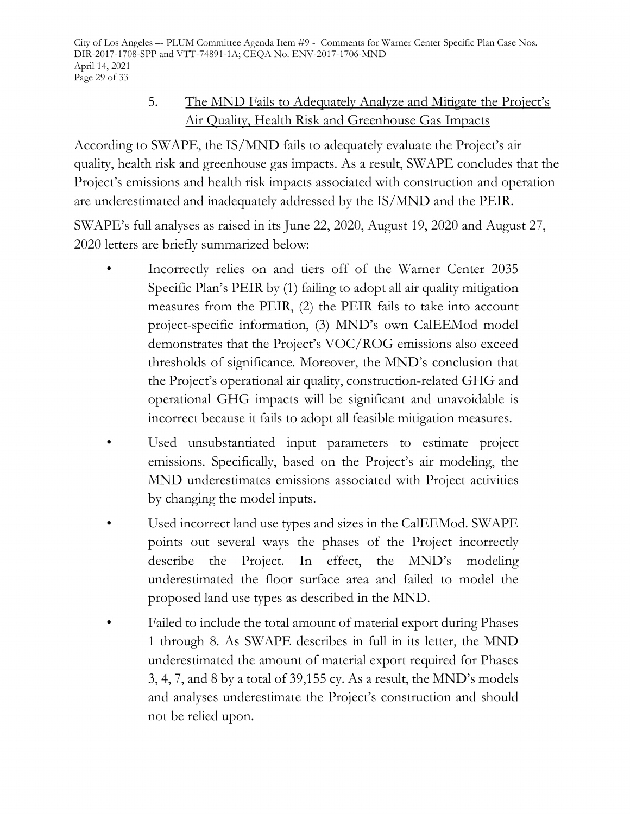City of Los Angeles –- PLUM Committee Agenda Item #9 - Comments for Warner Center Specific Plan Case Nos. DIR-2017-1708-SPP and VTT-74891-1A; CEQA No. ENV-2017-1706-MND April 14, 2021 Page 29 of 33

# 5. The MND Fails to Adequately Analyze and Mitigate the Project's Air Quality, Health Risk and Greenhouse Gas Impacts

According to SWAPE, the IS/MND fails to adequately evaluate the Project's air quality, health risk and greenhouse gas impacts. As a result, SWAPE concludes that the Project's emissions and health risk impacts associated with construction and operation are underestimated and inadequately addressed by the IS/MND and the PEIR.

SWAPE's full analyses as raised in its June 22, 2020, August 19, 2020 and August 27, 2020 letters are briefly summarized below:

- Incorrectly relies on and tiers off of the Warner Center 2035 Specific Plan's PEIR by (1) failing to adopt all air quality mitigation measures from the PEIR, (2) the PEIR fails to take into account project-specific information, (3) MND's own CalEEMod model demonstrates that the Project's VOC/ROG emissions also exceed thresholds of significance. Moreover, the MND's conclusion that the Project's operational air quality, construction-related GHG and operational GHG impacts will be significant and unavoidable is incorrect because it fails to adopt all feasible mitigation measures.
- Used unsubstantiated input parameters to estimate project emissions. Specifically, based on the Project's air modeling, the MND underestimates emissions associated with Project activities by changing the model inputs.
- Used incorrect land use types and sizes in the CalEEMod. SWAPE points out several ways the phases of the Project incorrectly describe the Project. In effect, the MND's modeling underestimated the floor surface area and failed to model the proposed land use types as described in the MND.
- Failed to include the total amount of material export during Phases 1 through 8. As SWAPE describes in full in its letter, the MND underestimated the amount of material export required for Phases 3, 4, 7, and 8 by a total of 39,155 cy. As a result, the MND's models and analyses underestimate the Project's construction and should not be relied upon.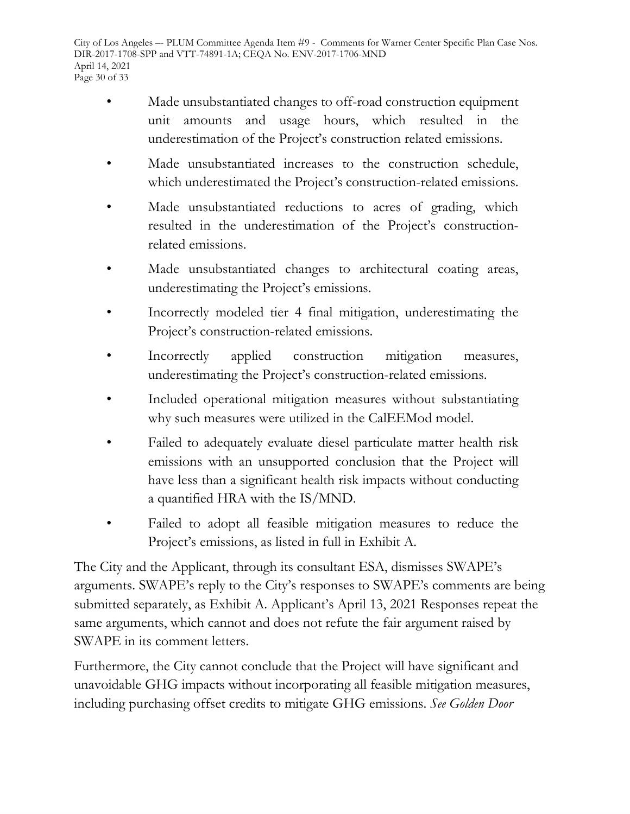- Made unsubstantiated changes to off-road construction equipment unit amounts and usage hours, which resulted in the underestimation of the Project's construction related emissions.
- Made unsubstantiated increases to the construction schedule, which underestimated the Project's construction-related emissions.
- Made unsubstantiated reductions to acres of grading, which resulted in the underestimation of the Project's constructionrelated emissions.
- Made unsubstantiated changes to architectural coating areas, underestimating the Project's emissions.
- Incorrectly modeled tier 4 final mitigation, underestimating the Project's construction-related emissions.
- Incorrectly applied construction mitigation measures, underestimating the Project's construction-related emissions.
- Included operational mitigation measures without substantiating why such measures were utilized in the CalEEMod model.
- Failed to adequately evaluate diesel particulate matter health risk emissions with an unsupported conclusion that the Project will have less than a significant health risk impacts without conducting a quantified HRA with the IS/MND.
- Failed to adopt all feasible mitigation measures to reduce the Project's emissions, as listed in full in Exhibit A.

The City and the Applicant, through its consultant ESA, dismisses SWAPE's arguments. SWAPE's reply to the City's responses to SWAPE's comments are being submitted separately, as Exhibit A. Applicant's April 13, 2021 Responses repeat the same arguments, which cannot and does not refute the fair argument raised by SWAPE in its comment letters.

Furthermore, the City cannot conclude that the Project will have significant and unavoidable GHG impacts without incorporating all feasible mitigation measures, including purchasing offset credits to mitigate GHG emissions. *See Golden Door*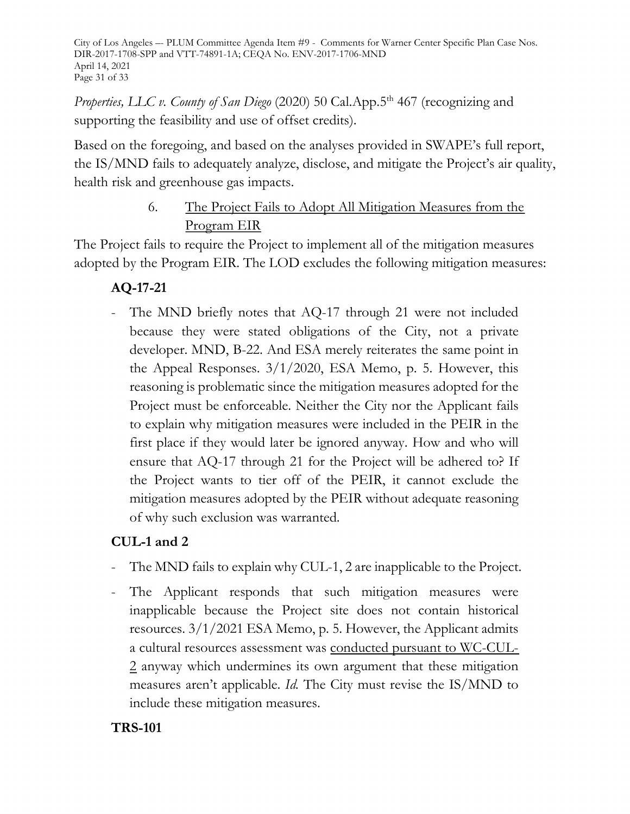City of Los Angeles –- PLUM Committee Agenda Item #9 - Comments for Warner Center Specific Plan Case Nos. DIR-2017-1708-SPP and VTT-74891-1A; CEQA No. ENV-2017-1706-MND April 14, 2021 Page 31 of 33

*Properties, LLC v. County of San Diego* (2020) 50 Cal.App.5<sup>th</sup> 467 (recognizing and supporting the feasibility and use of offset credits).

Based on the foregoing, and based on the analyses provided in SWAPE's full report, the IS/MND fails to adequately analyze, disclose, and mitigate the Project's air quality, health risk and greenhouse gas impacts.

# 6. The Project Fails to Adopt All Mitigation Measures from the Program EIR

The Project fails to require the Project to implement all of the mitigation measures adopted by the Program EIR. The LOD excludes the following mitigation measures:

# **AQ-17-21**

The MND briefly notes that AQ-17 through 21 were not included because they were stated obligations of the City, not a private developer. MND, B-22. And ESA merely reiterates the same point in the Appeal Responses. 3/1/2020, ESA Memo, p. 5. However, this reasoning is problematic since the mitigation measures adopted for the Project must be enforceable. Neither the City nor the Applicant fails to explain why mitigation measures were included in the PEIR in the first place if they would later be ignored anyway. How and who will ensure that AQ-17 through 21 for the Project will be adhered to? If the Project wants to tier off of the PEIR, it cannot exclude the mitigation measures adopted by the PEIR without adequate reasoning of why such exclusion was warranted.

# **CUL-1 and 2**

- The MND fails to explain why CUL-1, 2 are inapplicable to the Project.
- The Applicant responds that such mitigation measures were inapplicable because the Project site does not contain historical resources. 3/1/2021 ESA Memo, p. 5. However, the Applicant admits a cultural resources assessment was conducted pursuant to WC-CUL-2 anyway which undermines its own argument that these mitigation measures aren't applicable. *Id.* The City must revise the IS/MND to include these mitigation measures.

#### **TRS-101**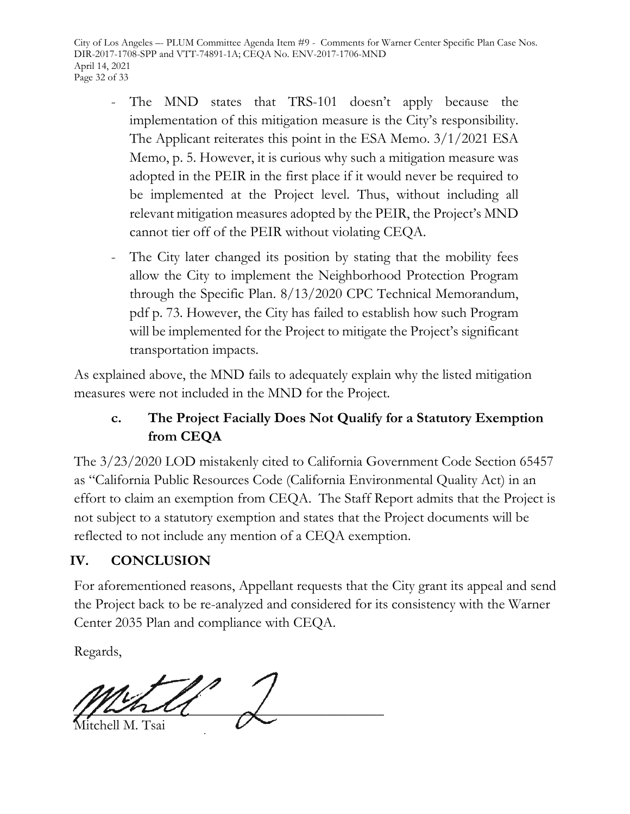City of Los Angeles –- PLUM Committee Agenda Item #9 - Comments for Warner Center Specific Plan Case Nos. DIR-2017-1708-SPP and VTT-74891-1A; CEQA No. ENV-2017-1706-MND April 14, 2021 Page 32 of 33

- The MND states that TRS-101 doesn't apply because the implementation of this mitigation measure is the City's responsibility. The Applicant reiterates this point in the ESA Memo. 3/1/2021 ESA Memo, p. 5. However, it is curious why such a mitigation measure was adopted in the PEIR in the first place if it would never be required to be implemented at the Project level. Thus, without including all relevant mitigation measures adopted by the PEIR, the Project's MND cannot tier off of the PEIR without violating CEQA.
- The City later changed its position by stating that the mobility fees allow the City to implement the Neighborhood Protection Program through the Specific Plan. 8/13/2020 CPC Technical Memorandum, pdf p. 73. However, the City has failed to establish how such Program will be implemented for the Project to mitigate the Project's significant transportation impacts.

As explained above, the MND fails to adequately explain why the listed mitigation measures were not included in the MND for the Project.

# **c. The Project Facially Does Not Qualify for a Statutory Exemption from CEQA**

The 3/23/2020 LOD mistakenly cited to California Government Code Section 65457 as "California Public Resources Code (California Environmental Quality Act) in an effort to claim an exemption from CEQA. The Staff Report admits that the Project is not subject to a statutory exemption and states that the Project documents will be reflected to not include any mention of a CEQA exemption.

# **IV. CONCLUSION**

For aforementioned reasons, Appellant requests that the City grant its appeal and send the Project back to be re-analyzed and considered for its consistency with the Warner Center 2035 Plan and compliance with CEQA.

Regards,

 $\frac{1}{2}$ Mitchell M. Tsai